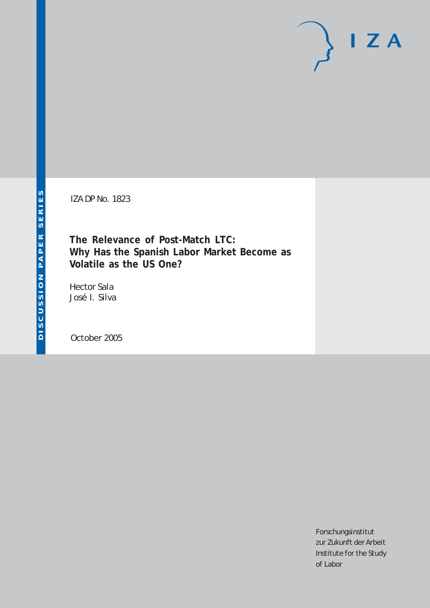# $I Z A$

IZA DP No. 1823

**The Relevance of Post-Match LTC: Why Has the Spanish Labor Market Become as Volatile as the US One?**

Hector Sala José I. Silva

October 2005

Forschungsinstitut zur Zukunft der Arbeit Institute for the Study of Labor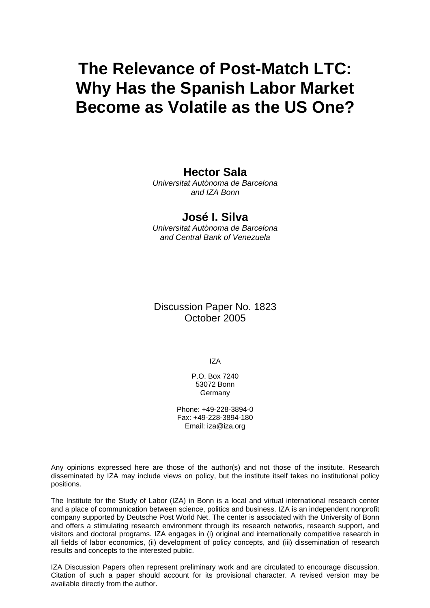# **The Relevance of Post-Match LTC: Why Has the Spanish Labor Market Become as Volatile as the US One?**

# **Hector Sala**

*Universitat Autònoma de Barcelona and IZA Bonn* 

## **José I. Silva**

*Universitat Autònoma de Barcelona and Central Bank of Venezuela* 

## Discussion Paper No. 1823 October 2005

IZA

P.O. Box 7240 53072 Bonn Germany

Phone: +49-228-3894-0 Fax: +49-228-3894-180 Email: [iza@iza.org](mailto:iza@iza.org)

Any opinions expressed here are those of the author(s) and not those of the institute. Research disseminated by IZA may include views on policy, but the institute itself takes no institutional policy positions.

The Institute for the Study of Labor (IZA) in Bonn is a local and virtual international research center and a place of communication between science, politics and business. IZA is an independent nonprofit company supported by Deutsche Post World Net. The center is associated with the University of Bonn and offers a stimulating research environment through its research networks, research support, and visitors and doctoral programs. IZA engages in (i) original and internationally competitive research in all fields of labor economics, (ii) development of policy concepts, and (iii) dissemination of research results and concepts to the interested public.

IZA Discussion Papers often represent preliminary work and are circulated to encourage discussion. Citation of such a paper should account for its provisional character. A revised version may be available directly from the author.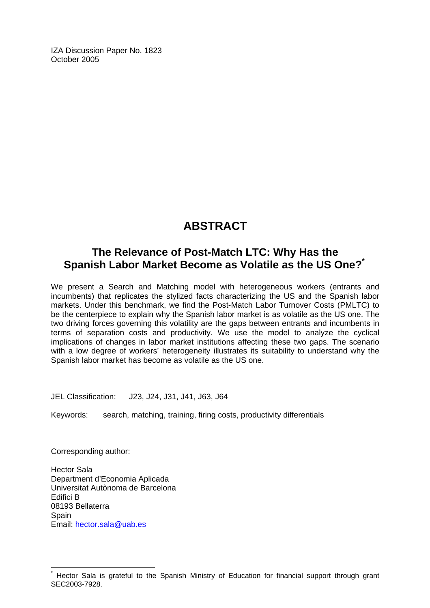IZA Discussion Paper No. 1823 October 2005

# **ABSTRACT**

# **The Relevance of Post-Match LTC: Why Has the Spanish Labor Market Become as Volatile as the US One?[\\*](#page-2-0)**

We present a Search and Matching model with heterogeneous workers (entrants and incumbents) that replicates the stylized facts characterizing the US and the Spanish labor markets. Under this benchmark, we find the Post-Match Labor Turnover Costs (PMLTC) to be the centerpiece to explain why the Spanish labor market is as volatile as the US one. The two driving forces governing this volatility are the gaps between entrants and incumbents in terms of separation costs and productivity. We use the model to analyze the cyclical implications of changes in labor market institutions affecting these two gaps. The scenario with a low degree of workers' heterogeneity illustrates its suitability to understand why the Spanish labor market has become as volatile as the US one.

JEL Classification: J23, J24, J31, J41, J63, J64

Keywords: search, matching, training, firing costs, productivity differentials

Corresponding author:

 $\overline{a}$ 

Hector Sala Department d'Economia Aplicada Universitat Autònoma de Barcelona Edifici B 08193 Bellaterra **Spain** Email: [hector.sala@uab.es](mailto:hector.sala@uab.es)

<span id="page-2-0"></span><sup>\*</sup> Hector Sala is grateful to the Spanish Ministry of Education for financial support through grant SEC2003-7928.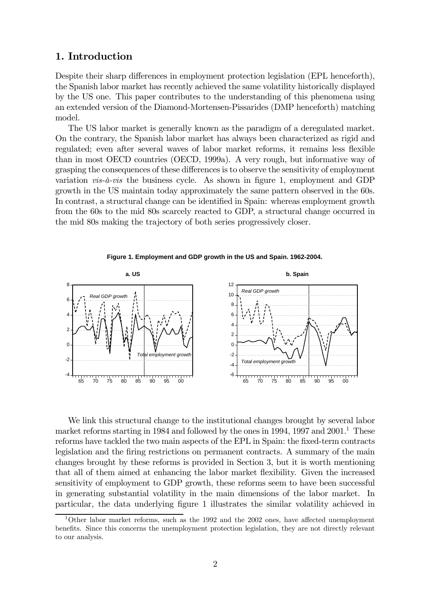#### 1. Introduction

Despite their sharp differences in employment protection legislation (EPL henceforth), the Spanish labor market has recently achieved the same volatility historically displayed by the US one. This paper contributes to the understanding of this phenomena using an extended version of the Diamond-Mortensen-Pissarides (DMP henceforth) matching model.

The US labor market is generally known as the paradigm of a deregulated market. On the contrary, the Spanish labor market has always been characterized as rigid and regulated; even after several waves of labor market reforms, it remains less flexible than in most OECD countries (OECD, 1999a). A very rough, but informative way of grasping the consequences of these differences is to observe the sensitivity of employment variation *vis-à-vis* the business cycle. As shown in figure 1, employment and GDP growth in the US maintain today approximately the same pattern observed in the 60s. In contrast, a structural change can be identified in Spain: whereas employment growth from the 60s to the mid 80s scarcely reacted to GDP, a structural change occurred in the mid 80s making the trajectory of both series progressively closer.





We link this structural change to the institutional changes brought by several labor market reforms starting in 1984 and followed by the ones in 1994, 1997 and  $2001<sup>1</sup>$ . These reforms have tackled the two main aspects of the EPL in Spain: the fixed-term contracts legislation and the firing restrictions on permanent contracts. A summary of the main changes brought by these reforms is provided in Section 3, but it is worth mentioning that all of them aimed at enhancing the labor market flexibility. Given the increased sensitivity of employment to GDP growth, these reforms seem to have been successful in generating substantial volatility in the main dimensions of the labor market. In particular, the data underlying figure 1 illustrates the similar volatility achieved in

<sup>&</sup>lt;sup>1</sup>Other labor market reforms, such as the 1992 and the 2002 ones, have affected unemployment benefits. Since this concerns the unemployment protection legislation, they are not directly relevant to our analysis.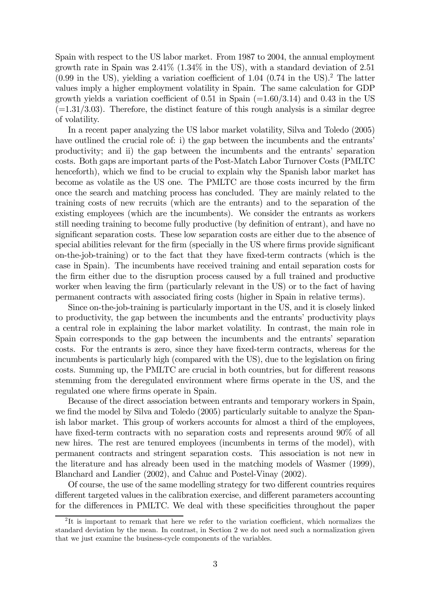Spain with respect to the US labor market. From 1987 to 2004, the annual employment growth rate in Spain was  $2.41\%$  (1.34% in the US), with a standard deviation of 2.51  $(0.99 \text{ in the US}),$  yielding a variation coefficient of 1.04  $(0.74 \text{ in the US}).^2$  The latter values imply a higher employment volatility in Spain. The same calculation for GDP growth yields a variation coefficient of 0.51 in Spain  $(=1.60/3.14)$  and 0.43 in the US  $(=1.31/3.03)$ . Therefore, the distinct feature of this rough analysis is a similar degree of volatility.

In a recent paper analyzing the US labor market volatility, Silva and Toledo (2005) have outlined the crucial role of: i) the gap between the incumbents and the entrants' productivity; and ii) the gap between the incumbents and the entrants' separation costs. Both gaps are important parts of the Post-Match Labor Turnover Costs (PMLTC henceforth), which we find to be crucial to explain why the Spanish labor market has become as volatile as the US one. The PMLTC are those costs incurred by the firm once the search and matching process has concluded. They are mainly related to the training costs of new recruits (which are the entrants) and to the separation of the existing employees (which are the incumbents). We consider the entrants as workers still needing training to become fully productive (by definition of entrant), and have no significant separation costs. These low separation costs are either due to the absence of special abilities relevant for the firm (specially in the US where firms provide significant on-the-job-training) or to the fact that they have fixed-term contracts (which is the case in Spain). The incumbents have received training and entail separation costs for the firm either due to the disruption process caused by a full trained and productive worker when leaving the firm (particularly relevant in the US) or to the fact of having permanent contracts with associated firing costs (higher in Spain in relative terms).

Since on-the-job-training is particularly important in the US, and it is closely linked to productivity, the gap between the incumbents and the entrants' productivity plays a central role in explaining the labor market volatility. In contrast, the main role in Spain corresponds to the gap between the incumbents and the entrants' separation costs. For the entrants is zero, since they have fixed-term contracts, whereas for the incumbents is particularly high (compared with the US), due to the legislation on firing costs. Summing up, the PMLTC are crucial in both countries, but for different reasons stemming from the deregulated environment where firms operate in the US, and the regulated one where firms operate in Spain.

Because of the direct association between entrants and temporary workers in Spain, we find the model by Silva and Toledo (2005) particularly suitable to analyze the Spanish labor market. This group of workers accounts for almost a third of the employees, have fixed-term contracts with no separation costs and represents around  $90\%$  of all new hires. The rest are tenured employees (incumbents in terms of the model), with permanent contracts and stringent separation costs. This association is not new in the literature and has already been used in the matching models of Wasmer (1999), Blanchard and Landier (2002), and Cahuc and Postel-Vinay (2002).

Of course, the use of the same modelling strategy for two different countries requires different targeted values in the calibration exercise, and different parameters accounting for the differences in PMLTC. We deal with these specificities throughout the paper

<sup>&</sup>lt;sup>2</sup>It is important to remark that here we refer to the variation coefficient, which normalizes the standard deviation by the mean. In contrast, in Section 2 we do not need such a normalization given that we just examine the business-cycle components of the variables.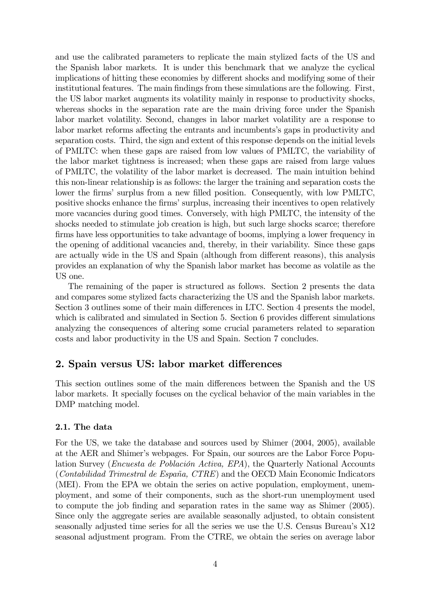and use the calibrated parameters to replicate the main stylized facts of the US and the Spanish labor markets. It is under this benchmark that we analyze the cyclical implications of hitting these economies by different shocks and modifying some of their institutional features. The main findings from these simulations are the following. First, the US labor market augments its volatility mainly in response to productivity shocks, whereas shocks in the separation rate are the main driving force under the Spanish labor market volatility. Second, changes in labor market volatility are a response to labor market reforms affecting the entrants and incumbents's gaps in productivity and separation costs. Third, the sign and extent of this response depends on the initial levels of PMLTC: when these gaps are raised from low values of PMLTC, the variability of the labor market tightness is increased; when these gaps are raised from large values of PMLTC, the volatility of the labor market is decreased. The main intuition behind this non-linear relationship is as follows: the larger the training and separation costs the lower the firms' surplus from a new filled position. Consequently, with low PMLTC, positive shocks enhance the firms' surplus, increasing their incentives to open relatively more vacancies during good times. Conversely, with high PMLTC, the intensity of the shocks needed to stimulate job creation is high, but such large shocks scarce; therefore firms have less opportunities to take advantage of booms, implying a lower frequency in the opening of additional vacancies and, thereby, in their variability. Since these gaps are actually wide in the US and Spain (although from different reasons), this analysis provides an explanation of why the Spanish labor market has become as volatile as the US one.

The remaining of the paper is structured as follows. Section 2 presents the data and compares some stylized facts characterizing the US and the Spanish labor markets. Section 3 outlines some of their main differences in LTC. Section 4 presents the model, which is calibrated and simulated in Section 5. Section 6 provides different simulations analyzing the consequences of altering some crucial parameters related to separation costs and labor productivity in the US and Spain. Section 7 concludes.

#### 2. Spain versus US: labor market differences

This section outlines some of the main differences between the Spanish and the US labor markets. It specially focuses on the cyclical behavior of the main variables in the DMP matching model.

#### 2.1. The data

For the US, we take the database and sources used by Shimer (2004, 2005), available at the AER and Shimer's webpages. For Spain, our sources are the Labor Force Population Survey (Encuesta de Población Activa, EPA), the Quarterly National Accounts (Contabilidad Trimestral de España, CTRE) and the OECD Main Economic Indicators (MEI). From the EPA we obtain the series on active population, employment, unemployment, and some of their components, such as the short-run unemployment used to compute the job finding and separation rates in the same way as Shimer (2005). Since only the aggregate series are available seasonally adjusted, to obtain consistent seasonally adjusted time series for all the series we use the U.S. Census Bureau's X12 seasonal adjustment program. From the CTRE, we obtain the series on average labor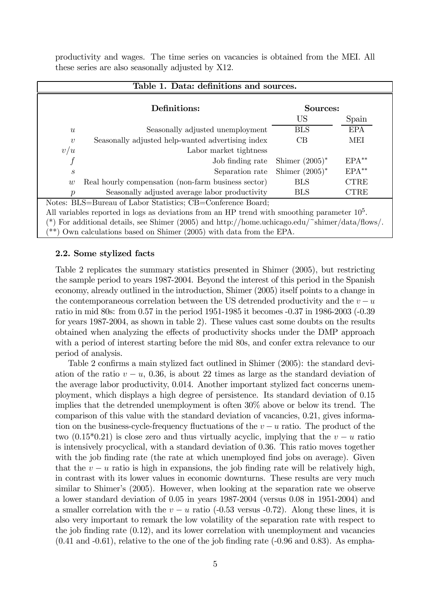productivity and wages. The time series on vacancies is obtained from the MEI. All these series are also seasonally adjusted by X12.

|                  | Table 1. Data: definitions and sources.                                                        |                   |             |  |  |  |  |  |
|------------------|------------------------------------------------------------------------------------------------|-------------------|-------------|--|--|--|--|--|
|                  | Definitions:                                                                                   | Sources:          |             |  |  |  |  |  |
|                  |                                                                                                | US                | Spain       |  |  |  |  |  |
| $\boldsymbol{u}$ | Seasonally adjusted unemployment                                                               | <b>BLS</b>        | <b>EPA</b>  |  |  |  |  |  |
| $\boldsymbol{v}$ | Seasonally adjusted help-wanted advertising index                                              | CB                | MEI         |  |  |  |  |  |
| v/u              | Labor market tightness                                                                         |                   |             |  |  |  |  |  |
|                  | Job finding rate                                                                               | Shimer $(2005)^*$ | $EPA**$     |  |  |  |  |  |
| $\boldsymbol{s}$ | Separation rate                                                                                | Shimer $(2005)^*$ | $EPA**$     |  |  |  |  |  |
| w                | Real hourly compensation (non-farm business sector)                                            | <b>BLS</b>        | <b>CTRE</b> |  |  |  |  |  |
| $\boldsymbol{p}$ | Seasonally adjusted average labor productivity                                                 | <b>BLS</b>        | <b>CTRE</b> |  |  |  |  |  |
|                  | Notes: BLS=Bureau of Labor Statistics; CB=Conference Board;                                    |                   |             |  |  |  |  |  |
|                  | All variables reported in logs as deviations from an HP trend with smoothing parameter $105$ . |                   |             |  |  |  |  |  |
|                  | For additional details, see Shimer (2005) and http://home.uchicago.edu/~shimer/data/flows/.    |                   |             |  |  |  |  |  |
|                  | $(***)$ Own calculations based on Shimer (2005) with data from the EPA.                        |                   |             |  |  |  |  |  |

#### 2.2. Some stylized facts

Table 2 replicates the summary statistics presented in Shimer (2005), but restricting the sample period to years 1987-2004. Beyond the interest of this period in the Spanish economy, already outlined in the introduction, Shimer (2005) itself points to a change in the contemporaneous correlation between the US detrended productivity and the  $v - u$ ratio in mid 80s: from 0.57 in the period 1951-1985 it becomes -0.37 in 1986-2003 (-0.39 for years 1987-2004, as shown in table 2). These values cast some doubts on the results obtained when analyzing the effects of productivity shocks under the DMP approach with a period of interest starting before the mid 80s, and confer extra relevance to our period of analysis.

Table 2 confirms a main stylized fact outlined in Shimer (2005): the standard deviation of the ratio  $v - u$ , 0.36, is about 22 times as large as the standard deviation of the average labor productivity, 0.014. Another important stylized fact concerns unemployment, which displays a high degree of persistence. Its standard deviation of 0.15 implies that the detrended unemployment is often 30% above or below its trend. The comparison of this value with the standard deviation of vacancies, 0.21, gives information on the business-cycle-frequency fluctuations of the  $v - u$  ratio. The product of the two (0.15<sup>\*</sup>0.21) is close zero and thus virtually acyclic, implying that the  $v - u$  ratio is intensively procyclical, with a standard deviation of 0.36. This ratio moves together with the job finding rate (the rate at which unemployed find jobs on average). Given that the  $v - u$  ratio is high in expansions, the job finding rate will be relatively high, in contrast with its lower values in economic downturns. These results are very much similar to Shimer's (2005). However, when looking at the separation rate we observe a lower standard deviation of 0.05 in years 1987-2004 (versus 0.08 in 1951-2004) and a smaller correlation with the  $v - u$  ratio (-0.53 versus -0.72). Along these lines, it is also very important to remark the low volatility of the separation rate with respect to the job finding rate (0.12), and its lower correlation with unemployment and vacancies  $(0.41 \text{ and } -0.61)$ , relative to the one of the job finding rate  $(-0.96 \text{ and } 0.83)$ . As empha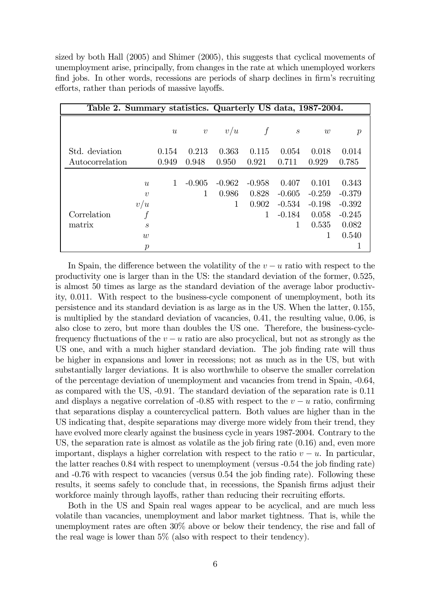sized by both Hall (2005) and Shimer (2005), this suggests that cyclical movements of unemployment arise, principally, from changes in the rate at which unemployed workers find jobs. In other words, recessions are periods of sharp declines in firm's recruiting efforts, rather than periods of massive layoffs.

| Table 2. Summary statistics. Quarterly US data, 1987-2004. |                   |                  |                  |                |                |                   |                |                |
|------------------------------------------------------------|-------------------|------------------|------------------|----------------|----------------|-------------------|----------------|----------------|
|                                                            |                   | $\boldsymbol{u}$ | $\boldsymbol{v}$ | v/u            | f              | $\mathcal{S}_{0}$ | w              | р              |
| Std. deviation                                             |                   | 0.154<br>0.949   | 0.213<br>0.948   | 0.363<br>0.950 | 0.115<br>0.921 | 0.054<br>0.711    | 0.018<br>0.929 | 0.014<br>0.785 |
| Autocorrelation                                            |                   |                  |                  |                |                |                   |                |                |
|                                                            | $\mathcal{U}$     |                  | $-0.905$         | $-0.962$       | $-0.958$       | 0.407             | 0.101          | 0.343          |
|                                                            | $\boldsymbol{v}$  |                  |                  | 0.986          | 0.828          | $-0.605$          | $-0.259$       | $-0.379$       |
|                                                            | v/u               |                  |                  | 1              | 0.902          | $-0.534$          | $-0.198$       | $-0.392$       |
| Correlation                                                |                   |                  |                  |                | $\mathbf{1}$   | $-0.184$          | 0.058          | $-0.245$       |
| matrix                                                     | $\mathcal{S}_{0}$ |                  |                  |                |                | 1                 | 0.535          | 0.082          |
|                                                            | $\overline{w}$    |                  |                  |                |                |                   | 1              | 0.540          |
|                                                            | $\mathcal{p}$     |                  |                  |                |                |                   |                |                |

In Spain, the difference between the volatility of the  $v - u$  ratio with respect to the productivity one is larger than in the US: the standard deviation of the former, 0.525, is almost 50 times as large as the standard deviation of the average labor productivity, 0.011. With respect to the business-cycle component of unemployment, both its persistence and its standard deviation is as large as in the US. When the latter, 0.155, is multiplied by the standard deviation of vacancies, 0.41, the resulting value, 0.06, is also close to zero, but more than doubles the US one. Therefore, the business-cyclefrequency fluctuations of the  $v - u$  ratio are also procyclical, but not as strongly as the US one, and with a much higher standard deviation. The job finding rate will thus be higher in expansions and lower in recessions; not as much as in the US, but with substantially larger deviations. It is also worthwhile to observe the smaller correlation of the percentage deviation of unemployment and vacancies from trend in Spain, -0.64, as compared with the US, -0.91. The standard deviation of the separation rate is 0.11 and displays a negative correlation of -0.85 with respect to the  $v - u$  ratio, confirming that separations display a countercyclical pattern. Both values are higher than in the US indicating that, despite separations may diverge more widely from their trend, they have evolved more clearly against the business cycle in years 1987-2004. Contrary to the US, the separation rate is almost as volatile as the job firing rate (0.16) and, even more important, displays a higher correlation with respect to the ratio  $v - u$ . In particular, the latter reaches 0.84 with respect to unemployment (versus -0.54 the job finding rate) and -0.76 with respect to vacancies (versus 0.54 the job finding rate). Following these results, it seems safely to conclude that, in recessions, the Spanish firms adjust their workforce mainly through layoffs, rather than reducing their recruiting efforts.

Both in the US and Spain real wages appear to be acyclical, and are much less volatile than vacancies, unemployment and labor market tightness. That is, while the unemployment rates are often 30% above or below their tendency, the rise and fall of the real wage is lower than 5% (also with respect to their tendency).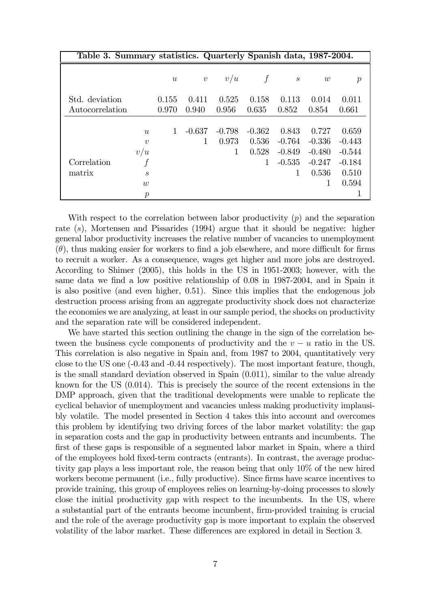| Table 3. Summary statistics. Quarterly Spanish data, 1987-2004. |                  |                  |            |          |          |                   |          |                  |
|-----------------------------------------------------------------|------------------|------------------|------------|----------|----------|-------------------|----------|------------------|
|                                                                 |                  | $\boldsymbol{u}$ | $\upsilon$ | v/u      |          | $\mathcal{S}_{0}$ | w        | $\boldsymbol{p}$ |
| Std. deviation                                                  |                  | 0.155            | 0.411      | 0.525    | 0.158    | 0.113             | 0.014    | 0.011            |
| Autocorrelation                                                 |                  | 0.970            | 0.940      | 0.956    | 0.635    | 0.852             | 0.854    | 0.661            |
|                                                                 |                  |                  |            |          |          |                   |          |                  |
|                                                                 | u                | 1                | $-0.637$   | $-0.798$ | $-0.362$ | 0.843             | 0.727    | 0.659            |
|                                                                 | $\boldsymbol{v}$ |                  |            | 0.973    | 0.536    | $-0.764$          | $-0.336$ | $-0.443$         |
|                                                                 | v/u              |                  |            | 1        | 0.528    | $-0.849$          | $-0.480$ | $-0.544$         |
| Correlation                                                     | f                |                  |            |          | 1        | $-0.535$          | $-0.247$ | $-0.184$         |
| matrix                                                          | $\boldsymbol{s}$ |                  |            |          |          | 1                 | 0.536    | 0.510            |
|                                                                 | $\overline{w}$   |                  |            |          |          |                   |          | 0.594            |
|                                                                 | $\boldsymbol{p}$ |                  |            |          |          |                   |          |                  |

With respect to the correlation between labor productivity  $(p)$  and the separation rate  $(s)$ , Mortensen and Pissarides (1994) argue that it should be negative: higher general labor productivity increases the relative number of vacancies to unemployment  $(\theta)$ , thus making easier for workers to find a job elsewhere, and more difficult for firms to recruit a worker. As a consequence, wages get higher and more jobs are destroyed. According to Shimer (2005), this holds in the US in 1951-2003; however, with the same data we find a low positive relationship of 0.08 in 1987-2004, and in Spain it is also positive (and even higher, 0.51). Since this implies that the endogenous job destruction process arising from an aggregate productivity shock does not characterize the economies we are analyzing, at least in our sample period, the shocks on productivity and the separation rate will be considered independent.

We have started this section outlining the change in the sign of the correlation between the business cycle components of productivity and the  $v - u$  ratio in the US. This correlation is also negative in Spain and, from 1987 to 2004, quantitatively very close to the US one (-0.43 and -0.44 respectively). The most important feature, though, is the small standard deviation observed in Spain (0.011), similar to the value already known for the US (0.014). This is precisely the source of the recent extensions in the DMP approach, given that the traditional developments were unable to replicate the cyclical behavior of unemployment and vacancies unless making productivity implausibly volatile. The model presented in Section 4 takes this into account and overcomes this problem by identifying two driving forces of the labor market volatility: the gap in separation costs and the gap in productivity between entrants and incumbents. The first of these gaps is responsible of a segmented labor market in Spain, where a third of the employees hold fixed-term contracts (entrants). In contrast, the average productivity gap plays a less important role, the reason being that only 10% of the new hired workers become permanent (i.e., fully productive). Since firms have scarce incentives to provide training, this group of employees relies on learning-by-doing processes to slowly close the initial productivity gap with respect to the incumbents. In the US, where a substantial part of the entrants become incumbent, firm-provided training is crucial and the role of the average productivity gap is more important to explain the observed volatility of the labor market. These differences are explored in detail in Section 3.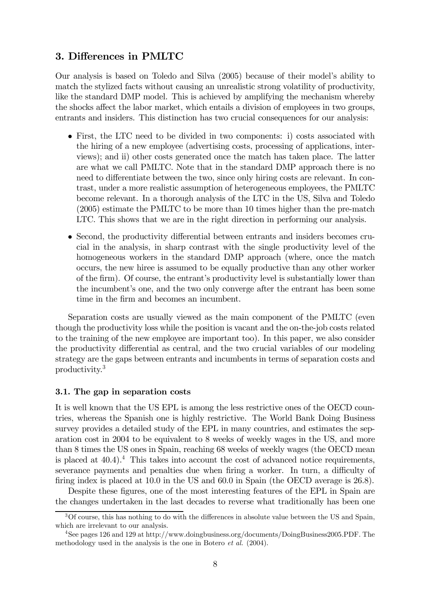#### 3. Differences in PMLTC

Our analysis is based on Toledo and Silva (2005) because of their model's ability to match the stylized facts without causing an unrealistic strong volatility of productivity, like the standard DMP model. This is achieved by amplifying the mechanism whereby the shocks affect the labor market, which entails a division of employees in two groups, entrants and insiders. This distinction has two crucial consequences for our analysis:

- First, the LTC need to be divided in two components: i) costs associated with the hiring of a new employee (advertising costs, processing of applications, interviews); and ii) other costs generated once the match has taken place. The latter are what we call PMLTC. Note that in the standard DMP approach there is no need to differentiate between the two, since only hiring costs are relevant. In contrast, under a more realistic assumption of heterogeneous employees, the PMLTC become relevant. In a thorough analysis of the LTC in the US, Silva and Toledo (2005) estimate the PMLTC to be more than 10 times higher than the pre-match LTC. This shows that we are in the right direction in performing our analysis.
- Second, the productivity differential between entrants and insiders becomes crucial in the analysis, in sharp contrast with the single productivity level of the homogeneous workers in the standard DMP approach (where, once the match occurs, the new hiree is assumed to be equally productive than any other worker of the firm). Of course, the entrant's productivity level is substantially lower than the incumbent's one, and the two only converge after the entrant has been some time in the firm and becomes an incumbent.

Separation costs are usually viewed as the main component of the PMLTC (even though the productivity loss while the position is vacant and the on-the-job costs related to the training of the new employee are important too). In this paper, we also consider the productivity differential as central, and the two crucial variables of our modeling strategy are the gaps between entrants and incumbents in terms of separation costs and productivity.3

#### 3.1. The gap in separation costs

It is well known that the US EPL is among the less restrictive ones of the OECD countries, whereas the Spanish one is highly restrictive. The World Bank Doing Business survey provides a detailed study of the EPL in many countries, and estimates the separation cost in 2004 to be equivalent to 8 weeks of weekly wages in the US, and more than 8 times the US ones in Spain, reaching 68 weeks of weekly wages (the OECD mean is placed at  $40.4$ .<sup>4</sup> This takes into account the cost of advanced notice requirements, severance payments and penalties due when firing a worker. In turn, a difficulty of firing index is placed at 10.0 in the US and 60.0 in Spain (the OECD average is 26.8).

Despite these figures, one of the most interesting features of the EPL in Spain are the changes undertaken in the last decades to reverse what traditionally has been one

<sup>&</sup>lt;sup>3</sup>Of course, this has nothing to do with the differences in absolute value between the US and Spain, which are irrelevant to our analysis.

<sup>4</sup>See pages 126 and 129 at http://www.doingbusiness.org/documents/DoingBusiness2005.PDF. The methodology used in the analysis is the one in Botero et al. (2004).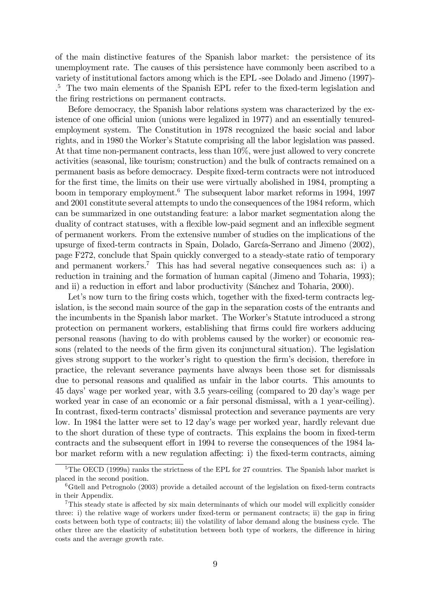of the main distinctive features of the Spanish labor market: the persistence of its unemployment rate. The causes of this persistence have commonly been ascribed to a variety of institutional factors among which is the EPL -see Dolado and Jimeno (1997)- . <sup>5</sup> The two main elements of the Spanish EPL refer to the fixed-term legislation and the firing restrictions on permanent contracts.

Before democracy, the Spanish labor relations system was characterized by the existence of one official union (unions were legalized in 1977) and an essentially tenuredemployment system. The Constitution in 1978 recognized the basic social and labor rights, and in 1980 the Worker's Statute comprising all the labor legislation was passed. At that time non-permanent contracts, less than 10%, were just allowed to very concrete activities (seasonal, like tourism; construction) and the bulk of contracts remained on a permanent basis as before democracy. Despite fixed-term contracts were not introduced for the first time, the limits on their use were virtually abolished in 1984, prompting a boom in temporary employment.6 The subsequent labor market reforms in 1994, 1997 and 2001 constitute several attempts to undo the consequences of the 1984 reform, which can be summarized in one outstanding feature: a labor market segmentation along the duality of contract statuses, with a flexible low-paid segment and an inflexible segment of permanent workers. From the extensive number of studies on the implications of the upsurge of fixed-term contracts in Spain, Dolado, García-Serrano and Jimeno (2002), page F272, conclude that Spain quickly converged to a steady-state ratio of temporary and permanent workers.<sup>7</sup> This has had several negative consequences such as: i) a reduction in training and the formation of human capital (Jimeno and Toharia, 1993); and ii) a reduction in effort and labor productivity (Sánchez and Toharia, 2000).

Let's now turn to the firing costs which, together with the fixed-term contracts legislation, is the second main source of the gap in the separation costs of the entrants and the incumbents in the Spanish labor market. The Worker's Statute introduced a strong protection on permanent workers, establishing that firms could fire workers adducing personal reasons (having to do with problems caused by the worker) or economic reasons (related to the needs of the firm given its conjunctural situation). The legislation gives strong support to the worker's right to question the firm's decision, therefore in practice, the relevant severance payments have always been those set for dismissals due to personal reasons and qualified as unfair in the labor courts. This amounts to 45 days' wage per worked year, with 3.5 years-ceiling (compared to 20 day's wage per worked year in case of an economic or a fair personal dismissal, with a 1 year-ceiling). In contrast, fixed-term contracts' dismissal protection and severance payments are very low. In 1984 the latter were set to 12 day's wage per worked year, hardly relevant due to the short duration of these type of contracts. This explains the boom in fixed-term contracts and the subsequent effort in 1994 to reverse the consequences of the 1984 labor market reform with a new regulation affecting: i) the fixed-term contracts, aiming

<sup>&</sup>lt;sup>5</sup>The OECD (1999a) ranks the strictness of the EPL for 27 countries. The Spanish labor market is placed in the second position.

 ${}^{6}$ Güell and Petrognolo (2003) provide a detailed account of the legislation on fixed-term contracts in their Appendix.

<sup>7</sup>This steady state is affected by six main determinants of which our model will explicitly consider three: i) the relative wage of workers under fixed-term or permanent contracts; ii) the gap in firing costs between both type of contracts; iii) the volatility of labor demand along the business cycle. The other three are the elasticity of substitution between both type of workers, the difference in hiring costs and the average growth rate.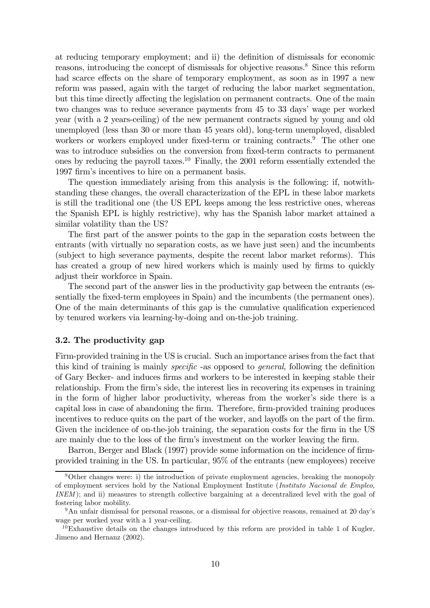at reducing temporary employment; and ii) the definition of dismissals for economic reasons, introducing the concept of dismissals for objective reasons.<sup>8</sup> Since this reform had scarce effects on the share of temporary employment, as soon as in 1997 a new reform was passed, again with the target of reducing the labor market segmentation, but this time directly affecting the legislation on permanent contracts. One of the main two changes was to reduce severance payments from 45 to 33 days' wage per worked year (with a 2 years-ceiling) of the new permanent contracts signed by young and old unemployed (less than 30 or more than 45 years old), long-term unemployed, disabled workers or workers employed under fixed-term or training contracts.<sup>9</sup> The other one was to introduce subsidies on the conversion from fixed-term contracts to permanent ones by reducing the payroll taxes.10 Finally, the 2001 reform essentially extended the 1997 firm's incentives to hire on a permanent basis.

The question immediately arising from this analysis is the following: if, notwithstanding these changes, the overall characterization of the EPL in these labor markets is still the traditional one (the US EPL keeps among the less restrictive ones, whereas the Spanish EPL is highly restrictive), why has the Spanish labor market attained a similar volatility than the US?

The first part of the answer points to the gap in the separation costs between the entrants (with virtually no separation costs, as we have just seen) and the incumbents (subject to high severance payments, despite the recent labor market reforms). This has created a group of new hired workers which is mainly used by firms to quickly adjust their workforce in Spain.

The second part of the answer lies in the productivity gap between the entrants (essentially the fixed-term employees in Spain) and the incumbents (the permanent ones). One of the main determinants of this gap is the cumulative qualification experienced by tenured workers via learning-by-doing and on-the-job training.

#### 3.2. The productivity gap

Firm-provided training in the US is crucial. Such an importance arises from the fact that this kind of training is mainly specific -as opposed to general, following the definition of Gary Becker- and induces firms and workers to be interested in keeping stable their relationship. From the firm's side, the interest lies in recovering its expenses in training in the form of higher labor productivity, whereas from the worker's side there is a capital loss in case of abandoning the firm. Therefore, firm-provided training produces incentives to reduce quits on the part of the worker, and layoffs on the part of the firm. Given the incidence of on-the-job training, the separation costs for the firm in the US are mainly due to the loss of the firm's investment on the worker leaving the firm.

Barron, Berger and Black (1997) provide some information on the incidence of firmprovided training in the US. In particular, 95% of the entrants (new employees) receive

<sup>8</sup>Other changes were: i) the introduction of private employment agencies, breaking the monopoly of employment services hold by the National Employment Institute (Instituto Nacional de Empleo, INEM); and ii) measures to strength collective bargaining at a decentralized level with the goal of fostering labor mobility.

<sup>&</sup>lt;sup>9</sup>An unfair dismissal for personal reasons, or a dismissal for objective reasons, remained at 20 day's wage per worked year with a 1 year-ceiling.

 $10E$ xhaustive details on the changes introduced by this reform are provided in table 1 of Kugler, Jimeno and Hernanz (2002).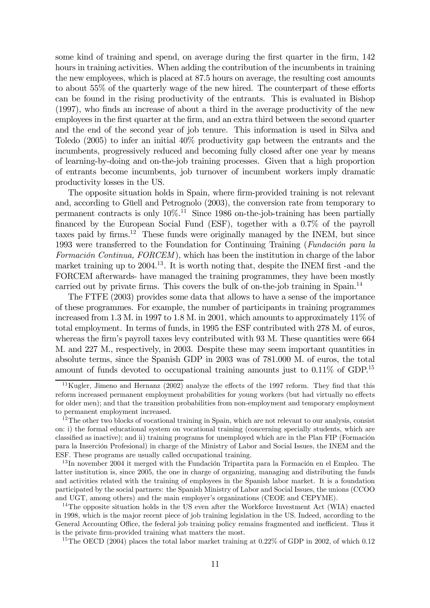some kind of training and spend, on average during the first quarter in the firm, 142 hours in training activities. When adding the contribution of the incumbents in training the new employees, which is placed at 87.5 hours on average, the resulting cost amounts to about 55% of the quarterly wage of the new hired. The counterpart of these efforts can be found in the rising productivity of the entrants. This is evaluated in Bishop (1997), who finds an increase of about a third in the average productivity of the new employees in the first quarter at the firm, and an extra third between the second quarter and the end of the second year of job tenure. This information is used in Silva and Toledo (2005) to infer an initial 40% productivity gap between the entrants and the incumbents, progressively reduced and becoming fully closed after one year by means of learning-by-doing and on-the-job training processes. Given that a high proportion of entrants become incumbents, job turnover of incumbent workers imply dramatic productivity losses in the US.

The opposite situation holds in Spain, where firm-provided training is not relevant and, according to Güell and Petrognolo (2003), the conversion rate from temporary to permanent contracts is only  $10\%$ <sup>11</sup> Since 1986 on-the-job-training has been partially financed by the European Social Fund (ESF), together with a 0.7% of the payroll taxes paid by firms.<sup>12</sup> These funds were originally managed by the INEM, but since 1993 were transferred to the Foundation for Continuing Training (Fundación para la Formación Continua, FORCEM), which has been the institution in charge of the labor market training up to 2004.<sup>13</sup>. It is worth noting that, despite the INEM first -and the FORCEM afterwards- have managed the training programmes, they have been mostly carried out by private firms. This covers the bulk of on-the-job training in Spain.<sup>14</sup>

The FTFE (2003) provides some data that allows to have a sense of the importance of these programmes. For example, the number of participants in training programmes increased from 1.3 M. in 1997 to 1.8 M. in 2001, which amounts to approximately 11% of total employment. In terms of funds, in 1995 the ESF contributed with 278 M. of euros, whereas the firm's payroll taxes levy contributed with 93 M. These quantities were 664 M. and 227 M., respectively, in 2003. Despite these may seem important quantities in absolute terms, since the Spanish GDP in 2003 was of 781.000 M. of euros, the total amount of funds devoted to occupational training amounts just to  $0.11\%$  of GDP.<sup>15</sup>

<sup>&</sup>lt;sup>11</sup>Kugler, Jimeno and Hernanz (2002) analyze the effects of the 1997 reform. They find that this reform increased permanent employment probabilities for young workers (but had virtually no effects for older men); and that the transition probabilities from non-employment and temporary employment to permanent employment increased.

 $12$ The other two blocks of vocational training in Spain, which are not relevant to our analysis, consist on: i) the formal educational system on vocational training (concerning specially students, which are classified as inactive); and ii) training programs for unemployed which are in the Plan FIP (Formación para la Inserción Profesional) in charge of the Ministry of Labor and Social Issues, the INEM and the ESF. These programs are usually called occupational training.

<sup>13</sup> In november 2004 it merged with the Fundación Tripartita para la Formación en el Empleo. The latter institution is, since 2005, the one in charge of organizing, managing and distributing the funds and activities related with the training of employees in the Spanish labor market. It is a foundation participated by the social partners: the Spanish Ministry of Labor and Social Issues, the unions (CCOO and UGT, among others) and the main employer's organizations (CEOE and CEPYME).

<sup>&</sup>lt;sup>14</sup>The opposite situation holds in the US even after the Workforce Investment Act (WIA) enacted in 1998, which is the major recent piece of job training legislation in the US. Indeed, according to the General Accounting Office, the federal job training policy remains fragmented and inefficient. Thus it is the private firm-provided training what matters the most.

<sup>&</sup>lt;sup>15</sup>The OECD (2004) places the total labor market training at 0.22% of GDP in 2002, of which 0.12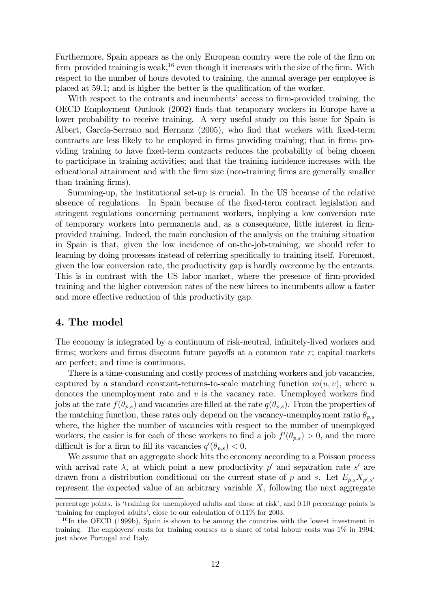Furthermore, Spain appears as the only European country were the role of the firm on firm–provided training is weak,<sup>16</sup> even though it increases with the size of the firm. With respect to the number of hours devoted to training, the annual average per employee is placed at 59.1; and is higher the better is the qualification of the worker.

With respect to the entrants and incumbents' access to firm-provided training, the OECD Employment Outlook (2002) finds that temporary workers in Europe have a lower probability to receive training. A very useful study on this issue for Spain is Albert, García-Serrano and Hernanz (2005), who find that workers with fixed-term contracts are less likely to be employed in firms providing training; that in firms providing training to have fixed-term contracts reduces the probability of being chosen to participate in training activities; and that the training incidence increases with the educational attainment and with the firm size (non-training firms are generally smaller than training firms).

Summing-up, the institutional set-up is crucial. In the US because of the relative absence of regulations. In Spain because of the fixed-term contract legislation and stringent regulations concerning permanent workers, implying a low conversion rate of temporary workers into permanents and, as a consequence, little interest in firmprovided training. Indeed, the main conclusion of the analysis on the training situation in Spain is that, given the low incidence of on-the-job-training, we should refer to learning by doing processes instead of referring specifically to training itself. Foremost, given the low conversion rate, the productivity gap is hardly overcome by the entrants. This is in contrast with the US labor market, where the presence of firm-provided training and the higher conversion rates of the new hirees to incumbents allow a faster and more effective reduction of this productivity gap.

#### 4. The model

The economy is integrated by a continuum of risk-neutral, infinitely-lived workers and firms; workers and firms discount future payoffs at a common rate r; capital markets are perfect; and time is continuous.

There is a time-consuming and costly process of matching workers and job vacancies, captured by a standard constant-returns-to-scale matching function  $m(u, v)$ , where u denotes the unemployment rate and  $v$  is the vacancy rate. Unemployed workers find jobs at the rate  $f(\theta_{p,s})$  and vacancies are filled at the rate  $q(\theta_{p,s})$ . From the properties of the matching function, these rates only depend on the vacancy-unemployment ratio  $\theta_{p,s}$ where, the higher the number of vacancies with respect to the number of unemployed workers, the easier is for each of these workers to find a job  $f'(\theta_{p,s}) > 0$ , and the more difficult is for a firm to fill its vacancies  $q'(\theta_{p,s}) < 0$ .

We assume that an aggregate shock hits the economy according to a Poisson process with arrival rate  $\lambda$ , at which point a new productivity p' and separation rate s' are drawn from a distribution conditional on the current state of p and s. Let  $E_{p,s}X_{p',s'}$ represent the expected value of an arbitrary variable  $X$ , following the next aggregate

percentage points. is 'training for unemployed adults and those at risk', and 0.10 percentage points is 'training for employed adults', close to our calculation of 0.11% for 2003.

 $16$ In the OECD (1999b), Spain is shown to be among the countries with the lowest investment in training. The employers' costs for training courses as a share of total labour costs was 1% in 1994, just above Portugal and Italy.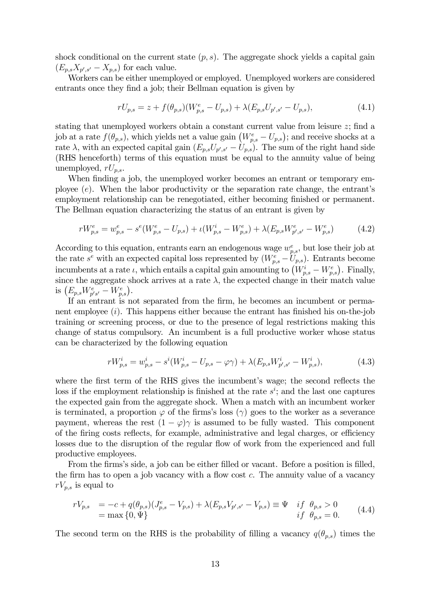shock conditional on the current state  $(p, s)$ . The aggregate shock yields a capital gain  $(E_{p,s}X_{p',s'}-X_{p,s})$  for each value.

Workers can be either unemployed or employed. Unemployed workers are considered entrants once they find a job; their Bellman equation is given by

$$
rU_{p,s} = z + f(\theta_{p,s})(W_{p,s}^e - U_{p,s}) + \lambda(E_{p,s}U_{p',s'} - U_{p,s}),
$$
\n(4.1)

stating that unemployed workers obtain a constant current value from leisure z; find a job at a rate  $f(\theta_{p,s})$ , which yields net a value gain  $(W_{p,s}^e - U_{p,s})$ ; and receive shocks at a rate  $\lambda$ , with an expected capital gain  $(E_{p,s}U_{p',s'} - U_{p,s})$ . The sum of the right hand side (RHS henceforth) terms of this equation must be equal to the annuity value of being unemployed,  $rU_{p,s}$ .

When finding a job, the unemployed worker becomes an entrant or temporary employee  $(e)$ . When the labor productivity or the separation rate change, the entrant's employment relationship can be renegotiated, either becoming finished or permanent. The Bellman equation characterizing the status of an entrant is given by

$$
rW_{p,s}^e = w_{p,s}^e - s^e(W_{p,s}^e - U_{p,s}) + \iota(W_{p,s}^i - W_{p,s}^e) + \lambda(E_{p,s}W_{p',s'}^e - W_{p,s}^e)
$$
(4.2)

According to this equation, entrants earn an endogenous wage  $w_{p,s}^e$ , but lose their job at the rate  $s^e$  with an expected capital loss represented by  $(W_{p,s}^e - U_{p,s})$ . Entrants become incumbents at a rate  $\iota$ , which entails a capital gain amounting to  $(W_{p,s}^i - W_{p,s}^e)$ . Finally, since the aggregate shock arrives at a rate  $\lambda$ , the expected change in their match value is  $(E_{p,s}W_{p's'}^e - W_{p,s}^e).$ 

If an entrant is not separated from the firm, he becomes an incumbent or permanent employee  $(i)$ . This happens either because the entrant has finished his on-the-job training or screening process, or due to the presence of legal restrictions making this change of status compulsory. An incumbent is a full productive worker whose status can be characterized by the following equation

$$
rW_{p,s}^i = w_{p,s}^i - s^i(W_{p,s}^i - U_{p,s} - \varphi \gamma) + \lambda (E_{p,s} W_{p',s'}^i - W_{p,s}^i),\tag{4.3}
$$

where the first term of the RHS gives the incumbent's wage; the second reflects the loss if the employment relationship is finished at the rate  $s^i$ ; and the last one captures the expected gain from the aggregate shock. When a match with an incumbent worker is terminated, a proportion  $\varphi$  of the firms's loss ( $\gamma$ ) goes to the worker as a severance payment, whereas the rest  $(1 - \varphi)\gamma$  is assumed to be fully wasted. This component of the firing costs reflects, for example, administrative and legal charges, or efficiency losses due to the disruption of the regular flow of work from the experienced and full productive employees.

From the firms's side, a job can be either filled or vacant. Before a position is filled, the firm has to open a job vacancy with a flow cost c. The annuity value of a vacancy  $rV_{p,s}$  is equal to

$$
rV_{p,s} = -c + q(\theta_{p,s})(J_{p,s}^e - V_{p,s}) + \lambda(E_{p,s}V_{p',s'} - V_{p,s}) \equiv \Psi \quad if \quad \theta_{p,s} > 0= \max\{0,\Psi\} \quad if \quad \theta_{p,s} = 0.
$$
 (4.4)

The second term on the RHS is the probability of filling a vacancy  $q(\theta_{p,s})$  times the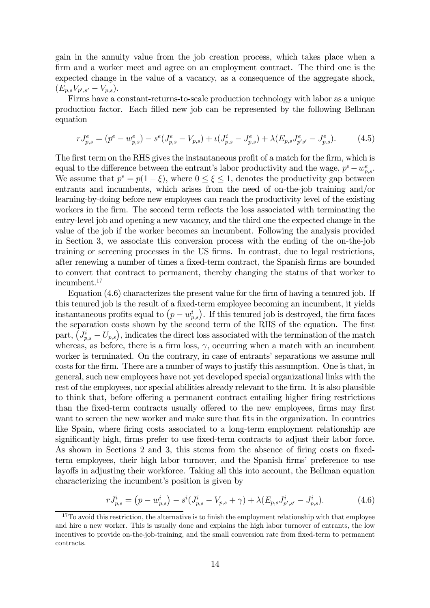gain in the annuity value from the job creation process, which takes place when a firm and a worker meet and agree on an employment contract. The third one is the expected change in the value of a vacancy, as a consequence of the aggregate shock,  $(E_{p,s}V_{p',s'}-V_{p,s}).$ 

Firms have a constant-returns-to-scale production technology with labor as a unique production factor. Each filled new job can be represented by the following Bellman equation

$$
rJ_{p,s}^e = (p^e - w_{p,s}^e) - s^e(J_{p,s}^e - V_{p,s}) + \iota(J_{p,s}^i - J_{p,s}^e) + \lambda(E_{p,s}J_{p's'}^e - J_{p,s}^e). \tag{4.5}
$$

The first term on the RHS gives the instantaneous profit of a match for the firm, which is equal to the difference between the entrant's labor productivity and the wage,  $p^e - w_{p,s}^e$ . We assume that  $p^e = p(1-\xi)$ , where  $0 \le \xi \le 1$ , denotes the productivity gap between entrants and incumbents, which arises from the need of on-the-job training and/or learning-by-doing before new employees can reach the productivity level of the existing workers in the firm. The second term reflects the loss associated with terminating the entry-level job and opening a new vacancy, and the third one the expected change in the value of the job if the worker becomes an incumbent. Following the analysis provided in Section 3, we associate this conversion process with the ending of the on-the-job training or screening processes in the US firms. In contrast, due to legal restrictions, after renewing a number of times a fixed-term contract, the Spanish firms are bounded to convert that contract to permanent, thereby changing the status of that worker to incumbent.17

Equation (4.6) characterizes the present value for the firm of having a tenured job. If this tenured job is the result of a fixed-term employee becoming an incumbent, it yields instantaneous profits equal to  $(p - w_{p,s}^i)$ . If this tenured job is destroyed, the firm faces the separation costs shown by the second term of the RHS of the equation. The first part,  $(J_{p,s}^i - U_{p,s})$ , indicates the direct loss associated with the termination of the match whereas, as before, there is a firm loss,  $\gamma$ , occurring when a match with an incumbent worker is terminated. On the contrary, in case of entrants' separations we assume null costs for the firm. There are a number of ways to justify this assumption. One is that, in general, such new employees have not yet developed special organizational links with the rest of the employees, nor special abilities already relevant to the firm. It is also plausible to think that, before offering a permanent contract entailing higher firing restrictions than the fixed-term contracts usually offered to the new employees, firms may first want to screen the new worker and make sure that fits in the organization. In countries like Spain, where firing costs associated to a long-term employment relationship are significantly high, firms prefer to use fixed-term contracts to adjust their labor force. As shown in Sections 2 and 3, this stems from the absence of firing costs on fixedterm employees, their high labor turnover, and the Spanish firms' preference to use layoffs in adjusting their workforce. Taking all this into account, the Bellman equation characterizing the incumbent's position is given by

$$
rJ_{p,s}^i = (p - w_{p,s}^i) - s^i(J_{p,s}^i - V_{p,s} + \gamma) + \lambda (E_{p,s} J_{p',s'}^i - J_{p,s}^i). \tag{4.6}
$$

 $17$ To avoid this restriction, the alternative is to finish the employment relationship with that employee and hire a new worker. This is usually done and explains the high labor turnover of entrants, the low incentives to provide on-the-job-training, and the small conversion rate from fixed-term to permanent contracts.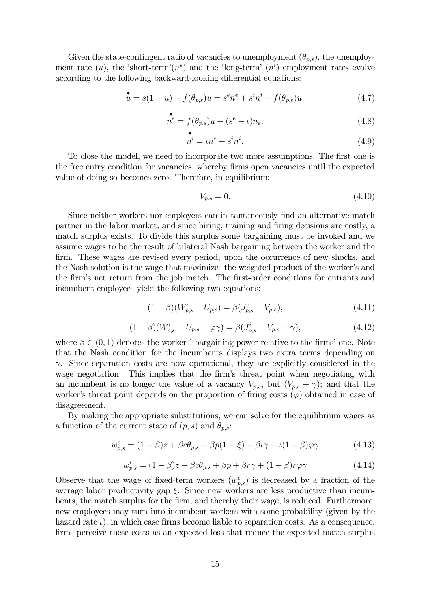Given the state-contingent ratio of vacancies to unemployment  $(\theta_{p,s})$ , the unemployment rate  $(u)$ , the 'short-term' $(n<sup>e</sup>)$  and the 'long-term'  $(n<sup>i</sup>)$  employment rates evolve according to the following backward-looking differential equations:

$$
\mathbf{\dot{u}} = s(1 - u) - f(\theta_{p,s})u = s^e n^e + s^i n^i - f(\theta_{p,s})u,
$$
\n(4.7)

$$
n^{e} = f(\theta_{p,s})u - (s^{e} + \iota)n_{e},
$$
\n(4.8)

$$
\stackrel{\bullet}{n^i} = \iota n^e - s^i n^i. \tag{4.9}
$$

To close the model, we need to incorporate two more assumptions. The first one is the free entry condition for vacancies, whereby firms open vacancies until the expected value of doing so becomes zero. Therefore, in equilibrium:

$$
V_{p,s} = 0.\t\t(4.10)
$$

Since neither workers nor employers can instantaneously find an alternative match partner in the labor market, and since hiring, training and firing decisions are costly, a match surplus exists. To divide this surplus some bargaining must be invoked and we assume wages to be the result of bilateral Nash bargaining between the worker and the firm. These wages are revised every period, upon the occurrence of new shocks, and the Nash solution is the wage that maximizes the weighted product of the worker's and the firm's net return from the job match. The first-order conditions for entrants and incumbent employees yield the following two equations:

$$
(1 - \beta)(W_{p,s}^e - U_{p,s}) = \beta(J_{p,s}^e - V_{p,s}),
$$
\n(4.11)

$$
(1 - \beta)(W_{p,s}^i - U_{p,s} - \varphi \gamma) = \beta(J_{p,s}^i - V_{p,s} + \gamma), \tag{4.12}
$$

where  $\beta \in (0, 1)$  denotes the workers' bargaining power relative to the firms' one. Note that the Nash condition for the incumbents displays two extra terms depending on  $\gamma$ . Since separation costs are now operational, they are explicitly considered in the wage negotiation. This implies that the firm's threat point when negotiating with an incumbent is no longer the value of a vacancy  $V_{p,s}$ , but  $(V_{p,s} - \gamma)$ ; and that the worker's threat point depends on the proportion of firing costs  $(\varphi)$  obtained in case of disagreement.

By making the appropriate substitutions, we can solve for the equilibrium wages as a function of the current state of  $(p, s)$  and  $\theta_{p,s}$ :

$$
w_{p,s}^e = (1 - \beta)z + \beta c \theta_{p,s} - \beta p(1 - \xi) - \beta \iota \gamma - \iota(1 - \beta)\varphi \gamma \tag{4.13}
$$

$$
w_{p,s}^i = (1 - \beta)z + \beta c\theta_{p,s} + \beta p + \beta r\gamma + (1 - \beta)r\varphi\gamma
$$
\n(4.14)

Observe that the wage of fixed-term workers  $(w_{p,s}^e)$  is decreased by a fraction of the average labor productivity gap  $\xi$ . Since new workers are less productive than incumbents, the match surplus for the firm, and thereby their wage, is reduced. Furthermore, new employees may turn into incumbent workers with some probability (given by the hazard rate  $\iota$ ), in which case firms become liable to separation costs. As a consequence, firms perceive these costs as an expected loss that reduce the expected match surplus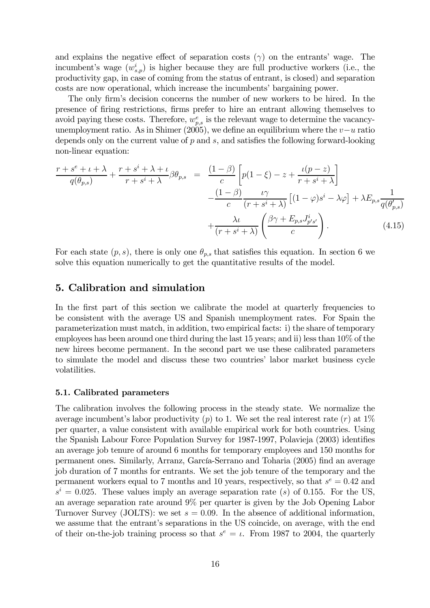and explains the negative effect of separation costs  $(\gamma)$  on the entrants' wage. The incumbent's wage  $(w_{s,p}^i)$  is higher because they are full productive workers (i.e., the productivity gap, in case of coming from the status of entrant, is closed) and separation costs are now operational, which increase the incumbents' bargaining power.

The only firm's decision concerns the number of new workers to be hired. In the presence of firing restrictions, firms prefer to hire an entrant allowing themselves to avoid paying these costs. Therefore,  $w_{p,s}^e$  is the relevant wage to determine the vacancyunemployment ratio. As in Shimer  $(2005)$ , we define an equilibrium where the  $v-u$  ratio depends only on the current value of  $p$  and  $s$ , and satisfies the following forward-looking non-linear equation:

$$
\frac{r+s^e+\iota+\lambda}{q(\theta_{p,s})} + \frac{r+s^i+\lambda+\iota}{r+s^i+\lambda} \beta \theta_{p,s} = \frac{(1-\beta)}{c} \left[ p(1-\xi) - z + \frac{\iota(p-z)}{r+s^i+\lambda} \right] \n- \frac{(1-\beta)}{c} \frac{\iota \gamma}{(r+s^i+\lambda)} \left[ (1-\varphi)s^i - \lambda \varphi \right] + \lambda E_{p,s} \frac{1}{q(\theta_{p,s}')} \n+ \frac{\lambda \iota}{(r+s^i+\lambda)} \left( \frac{\beta \gamma + E_{p,s} J_{p's}^i}{c} \right). \tag{4.15}
$$

For each state  $(p, s)$ , there is only one  $\theta_{p,s}$  that satisfies this equation. In section 6 we solve this equation numerically to get the quantitative results of the model.

#### 5. Calibration and simulation

In the first part of this section we calibrate the model at quarterly frequencies to be consistent with the average US and Spanish unemployment rates. For Spain the parameterization must match, in addition, two empirical facts: i) the share of temporary employees has been around one third during the last 15 years; and ii) less than 10% of the new hirees become permanent. In the second part we use these calibrated parameters to simulate the model and discuss these two countries' labor market business cycle volatilities.

#### 5.1. Calibrated parameters

The calibration involves the following process in the steady state. We normalize the average incumbent's labor productivity (p) to 1. We set the real interest rate (r) at  $1\%$ per quarter, a value consistent with available empirical work for both countries. Using the Spanish Labour Force Population Survey for 1987-1997, Polavieja (2003) identifies an average job tenure of around 6 months for temporary employees and 150 months for permanent ones. Similarly, Arranz, García-Serrano and Toharia (2005) find an average job duration of 7 months for entrants. We set the job tenure of the temporary and the permanent workers equal to 7 months and 10 years, respectively, so that  $s^e = 0.42$  and  $s<sup>i</sup> = 0.025$ . These values imply an average separation rate (s) of 0.155. For the US, an average separation rate around 9% per quarter is given by the Job Opening Labor Turnover Survey (JOLTS): we set  $s = 0.09$ . In the absence of additional information, we assume that the entrant's separations in the US coincide, on average, with the end of their on-the-job training process so that  $s^e = \iota$ . From 1987 to 2004, the quarterly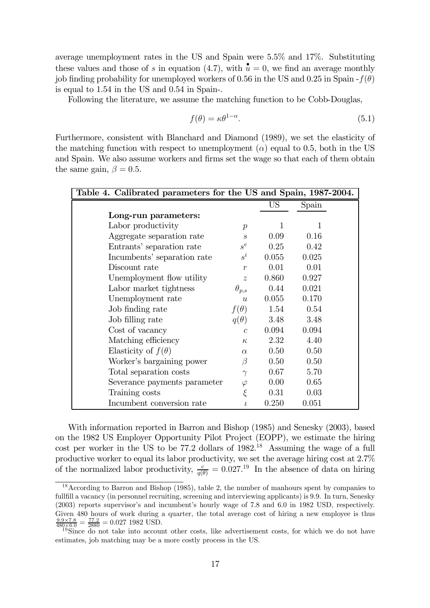average unemployment rates in the US and Spain were 5.5% and 17%. Substituting these values and those of s in equation (4.7), with  $\mathbf{u} = 0$ , we find an average monthly job finding probability for unemployed workers of 0.56 in the US and 0.25 in Spain  $-f(\theta)$ is equal to 1.54 in the US and 0.54 in Spain-.

Following the literature, we assume the matching function to be Cobb-Douglas,

$$
f(\theta) = \kappa \theta^{1-\alpha}.\tag{5.1}
$$

Furthermore, consistent with Blanchard and Diamond (1989), we set the elasticity of the matching function with respect to unemployment  $(\alpha)$  equal to 0.5, both in the US and Spain. We also assume workers and firms set the wage so that each of them obtain the same gain,  $\beta = 0.5$ .

| Table 4. Calibrated parameters for the US and Spain, 1987-2004. |                             |       |       |  |  |  |
|-----------------------------------------------------------------|-----------------------------|-------|-------|--|--|--|
|                                                                 |                             | US    | Spain |  |  |  |
| Long-run parameters:                                            |                             |       |       |  |  |  |
| Labor productivity                                              | $\boldsymbol{p}$            | 1     | 1     |  |  |  |
| Aggregate separation rate                                       | $\mathcal{S}_{\mathcal{S}}$ | 0.09  | 0.16  |  |  |  |
| Entrants' separation rate                                       | $s^e$                       | 0.25  | 0.42  |  |  |  |
| Incumbents' separation rate                                     | $s^i$                       | 0.055 | 0.025 |  |  |  |
| Discount rate                                                   | $\boldsymbol{r}$            | 0.01  | 0.01  |  |  |  |
| Unemployment flow utility                                       | $\tilde{z}$                 | 0.860 | 0.927 |  |  |  |
| Labor market tightness                                          | $\theta_{p,s}$              | 0.44  | 0.021 |  |  |  |
| Unemployment rate                                               | u                           | 0.055 | 0.170 |  |  |  |
| Job finding rate                                                | $f(\theta)$                 | 1.54  | 0.54  |  |  |  |
| Job filling rate                                                | $q(\theta)$                 | 3.48  | 3.48  |  |  |  |
| Cost of vacancy                                                 | $\overline{c}$              | 0.094 | 0.094 |  |  |  |
| Matching efficiency                                             | $\kappa$                    | 2.32  | 4.40  |  |  |  |
| Elasticity of $f(\theta)$                                       | $\alpha$                    | 0.50  | 0.50  |  |  |  |
| Worker's bargaining power                                       | B                           | 0.50  | 0.50  |  |  |  |
| Total separation costs                                          | $\gamma$                    | 0.67  | 5.70  |  |  |  |
| Severance payments parameter                                    | $\varphi$                   | 0.00  | 0.65  |  |  |  |
| Training costs                                                  | $\xi$                       | 0.31  | 0.03  |  |  |  |
| Incumbent conversion rate                                       | t                           | 0.250 | 0.051 |  |  |  |

With information reported in Barron and Bishop (1985) and Senesky (2003), based on the 1982 US Employer Opportunity Pilot Project (EOPP), we estimate the hiring cost per worker in the US to be  $77.2$  dollars of  $1982<sup>18</sup>$ . Assuming the wage of a full productive worker to equal its labor productivity, we set the average hiring cost at 2.7% of the normalized labor productivity,  $\frac{c}{q(\theta)} = 0.027^{19}$  In the absence of data on hiring

<sup>&</sup>lt;sup>18</sup>According to Barron and Bishop (1985), table 2, the number of manhours spent by companies to fullfill a vacancy (in personnel recruiting, screening and interviewing applicants) is 9.9. In turn, Senesky (2003) reports supervisor's and incumbent's hourly wage of 7.8 and 6.0 in 1982 USD, respectively. Given 480 hours of work during a quarter, the total average cost of hiring a new employee is thus  $\frac{9.9 \times 7.8}{480 \times 6.0} = \frac{77.2}{2880} = 0.027$  1982 USD.

<sup>&</sup>lt;sup>19</sup>Since do not take into account other costs, like advertisement costs, for which we do not have estimates, job matching may be a more costly process in the US.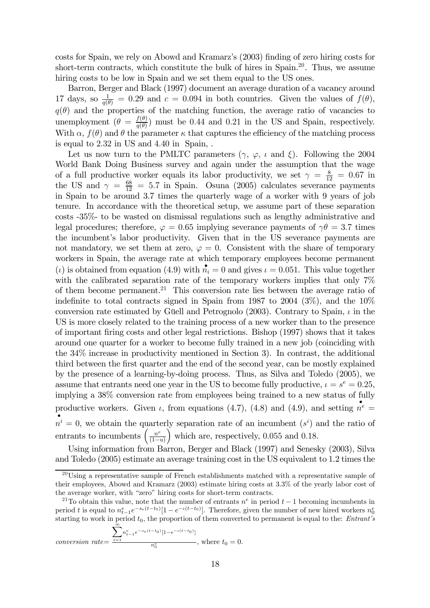costs for Spain, we rely on Abowd and Kramarz's (2003) finding of zero hiring costs for short-term contracts, which constitute the bulk of hires in Spain.20. Thus, we assume hiring costs to be low in Spain and we set them equal to the US ones.

Barron, Berger and Black (1997) document an average duration of a vacancy around 17 days, so  $\frac{1}{q(\theta)} = 0.29$  and  $c = 0.094$  in both countries. Given the values of  $f(\theta)$ ,  $q(\theta)$  and the properties of the matching function, the average ratio of vacancies to unemployment  $(\theta = \frac{f(\theta)}{q(\theta)})$  must be 0.44 and 0.21 in the US and Spain, respectively. With  $\alpha$ ,  $f(\theta)$  and  $\theta$  the parameter  $\kappa$  that captures the efficiency of the matching process is equal to 2.32 in US and 4.40 in Spain, .

Let us now turn to the PMLTC parameters  $(\gamma, \varphi, \iota \text{ and } \xi)$ . Following the 2004 World Bank Doing Business survey and again under the assumption that the wage of a full productive worker equals its labor productivity, we set  $\gamma = \frac{8}{12} = 0.67$  in the US and  $\gamma = \frac{68}{12} = 5.7$  in Spain. Osuna (2005) calculates severance payments in Spain to be around 3.7 times the quarterly wage of a worker with 9 years of job tenure. In accordance with the theoretical setup, we assume part of these separation costs -35%- to be wasted on dismissal regulations such as lengthy administrative and legal procedures; therefore,  $\varphi = 0.65$  implying severance payments of  $\gamma \theta = 3.7$  times the incumbent's labor productivity. Given that in the US severance payments are not mandatory, we set them at zero,  $\varphi = 0$ . Consistent with the share of temporary workers in Spain, the average rate at which temporary employees become permanent (*i*) is obtained from equation (4.9) with  $\mathbf{n}_i = 0$  and gives  $\iota = 0.051$ . This value together with the calibrated separation rate of the temporary workers implies that only 7% of them become permanent.21 This conversion rate lies between the average ratio of indefinite to total contracts signed in Spain from 1987 to 2004 ( $3\%$ ), and the  $10\%$ conversion rate estimated by Güell and Petrognolo (2003). Contrary to Spain,  $\iota$  in the US is more closely related to the training process of a new worker than to the presence of important firing costs and other legal restrictions. Bishop (1997) shows that it takes around one quarter for a worker to become fully trained in a new job (coinciding with the 34% increase in productivity mentioned in Section 3). In contrast, the additional third between the first quarter and the end of the second year, can be mostly explained by the presence of a learning-by-doing process. Thus, as Silva and Toledo (2005), we assume that entrants need one year in the US to become fully productive,  $\iota = s^e = 0.25$ , implying a 38% conversion rate from employees being trained to a new status of fully productive workers. Given  $\iota$ , from equations (4.7), (4.8) and (4.9), and setting  $\mathbf{n}^e =$  $\mathbf{m}^i = 0$ , we obtain the quarterly separation rate of an incumbent  $(s^i)$  and the ratio of entrants to incumbents  $\left(\frac{n^e}{(1-u)}\right)$ which are, respectively,  $0.055$  and  $0.18$ .

Using information from Barron, Berger and Black (1997) and Senesky (2003), Silva and Toledo (2005) estimate an average training cost in the US equivalent to 1.2 times the

$$
conversion\ rate = \frac{\sum_{t=1}^{\infty} n_{t-1}^{e} e^{-s_e(t-t_0)} [1 - e^{-\iota(t-t_0)}]}{n_0^e}, \text{ where } t_0 = 0.
$$

 $^{20}$ Using a representative sample of French establishments matched with a representative sample of their employees, Abowd and Kramarz (2003) estimate hiring costs at 3.3% of the yearly labor cost of the average worker, with "zero" hiring costs for short-term contracts.

<sup>&</sup>lt;sup>21</sup>To obtain this value, note that the number of entrants  $n^e$  in period  $t-1$  becoming incumbents in period t is equal to  $n_{t-1}^e e^{-s_e(t-t_0)}[1-e^{-\iota(t-t_0)}]$ . Therefore, given the number of new hired workers  $n_0^e$ starting to work in period  $t_0$ , the proportion of them converted to permanent is equal to the: *Entrant's*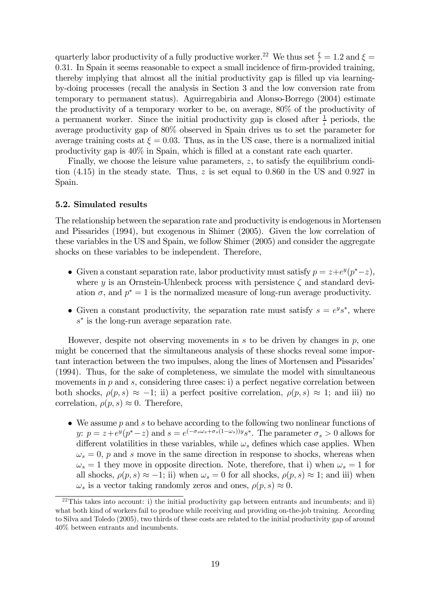quarterly labor productivity of a fully productive worker.<sup>22</sup> We thus set  $\frac{\xi}{\iota} = 1.2$  and  $\xi =$ 0.31. In Spain it seems reasonable to expect a small incidence of firm-provided training, thereby implying that almost all the initial productivity gap is filled up via learningby-doing processes (recall the analysis in Section 3 and the low conversion rate from temporary to permanent status). Aguirregabiria and Alonso-Borrego (2004) estimate the productivity of a temporary worker to be, on average, 80% of the productivity of a permanent worker. Since the initial productivity gap is closed after  $\frac{1}{\iota}$  periods, the average productivity gap of 80% observed in Spain drives us to set the parameter for average training costs at  $\xi = 0.03$ . Thus, as in the US case, there is a normalized initial productivity gap is 40% in Spain, which is filled at a constant rate each quarter.

Finally, we choose the leisure value parameters, z, to satisfy the equilibrium condition  $(4.15)$  in the steady state. Thus, z is set equal to 0.860 in the US and 0.927 in Spain.

#### 5.2. Simulated results

The relationship between the separation rate and productivity is endogenous in Mortensen and Pissarides (1994), but exogenous in Shimer (2005). Given the low correlation of these variables in the US and Spain, we follow Shimer (2005) and consider the aggregate shocks on these variables to be independent. Therefore,

- Given a constant separation rate, labor productivity must satisfy  $p = z + e^y(p^* z)$ , where y is an Ornstein-Uhlenbeck process with persistence  $\zeta$  and standard deviation  $\sigma$ , and  $p^* = 1$  is the normalized measure of long-run average productivity.
- Given a constant productivity, the separation rate must satisfy  $s = e^y s^*$ , where  $s<sup>*</sup>$  is the long-run average separation rate.

However, despite not observing movements in  $s$  to be driven by changes in  $p$ , one might be concerned that the simultaneous analysis of these shocks reveal some important interaction between the two impulses, along the lines of Mortensen and Pissarides' (1994). Thus, for the sake of completeness, we simulate the model with simultaneous movements in  $p$  and  $s$ , considering three cases: i) a perfect negative correlation between both shocks,  $\rho(p,s) \approx -1$ ; ii) a perfect positive correlation,  $\rho(p,s) \approx 1$ ; and iii) no correlation,  $\rho(p, s) \approx 0$ . Therefore,

• We assume p and s to behave according to the following two nonlinear functions of y:  $p = z + e^y(p^* - z)$  and  $s = e^{(-\sigma_s \omega_s + \sigma_s(1-\omega_s))y} s^*$ . The parameter  $\sigma_s > 0$  allows for different volatilities in these variables, while  $\omega_s$  defines which case applies. When  $\omega_s = 0$ , p and s move in the same direction in response to shocks, whereas when  $\omega_s = 1$  they move in opposite direction. Note, therefore, that i) when  $\omega_s = 1$  for all shocks,  $\rho(p, s) \approx -1$ ; ii) when  $\omega_s = 0$  for all shocks,  $\rho(p, s) \approx 1$ ; and iii) when  $\omega_s$  is a vector taking randomly zeros and ones,  $\rho(p, s) \approx 0$ .

 $^{22}$ This takes into account: i) the initial productivity gap between entrants and incumbents; and ii) what both kind of workers fail to produce while receiving and providing on-the-job training. According to Silva and Toledo (2005), two thirds of these costs are related to the initial productivity gap of around 40% between entrants and incumbents.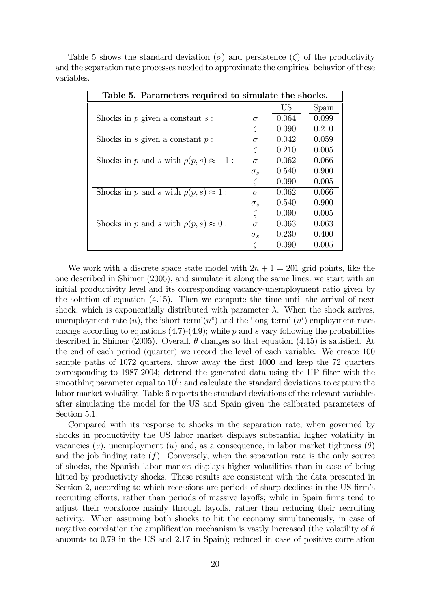| Table 5. Parameters required to simulate the shocks. |              |       |       |
|------------------------------------------------------|--------------|-------|-------|
|                                                      |              | US    | Spain |
| Shocks in $p$ given a constant $s$ :                 | $\sigma$     | 0.064 | 0.099 |
|                                                      |              | 0.090 | 0.210 |
| Shocks in s given a constant $p$ :                   | $\sigma$     | 0.042 | 0.059 |
|                                                      |              | 0.210 | 0.005 |
| Shocks in p and s with $\rho(p,s) \approx -1$ :      | $\sigma$     | 0.062 | 0.066 |
|                                                      | $\sigma_s$   | 0.540 | 0.900 |
|                                                      |              | 0.090 | 0.005 |
| Shocks in p and s with $\rho(p,s) \approx 1$ :       | $\sigma$     | 0.062 | 0.066 |
|                                                      | $\sigma_s$   | 0.540 | 0.900 |
|                                                      |              | 0.090 | 0.005 |
| Shocks in p and s with $\rho(p,s) \approx 0$ :       | $\sigma$     | 0.063 | 0.063 |
|                                                      | $\sigma_{s}$ | 0.230 | 0.400 |
|                                                      |              | 0.090 | 0.005 |

Table 5 shows the standard deviation ( $\sigma$ ) and persistence ( $\zeta$ ) of the productivity and the separation rate processes needed to approximate the empirical behavior of these variables.

We work with a discrete space state model with  $2n + 1 = 201$  grid points, like the one described in Shimer (2005), and simulate it along the same lines: we start with an initial productivity level and its corresponding vacancy-unemployment ratio given by the solution of equation (4.15). Then we compute the time until the arrival of next shock, which is exponentially distributed with parameter  $\lambda$ . When the shock arrives, unemployment rate  $(u)$ , the 'short-term' $(n<sup>e</sup>)$  and the 'long-term'  $(n<sup>i</sup>)$  employment rates change according to equations  $(4.7)-(4.9)$ ; while p and s vary following the probabilities described in Shimer (2005). Overall,  $\theta$  changes so that equation (4.15) is satisfied. At the end of each period (quarter) we record the level of each variable. We create 100 sample paths of 1072 quarters, throw away the first 1000 and keep the 72 quarters corresponding to 1987-2004; detrend the generated data using the HP filter with the smoothing parameter equal to  $10^5$ ; and calculate the standard deviations to capture the labor market volatility. Table 6 reports the standard deviations of the relevant variables after simulating the model for the US and Spain given the calibrated parameters of Section 5.1.

Compared with its response to shocks in the separation rate, when governed by shocks in productivity the US labor market displays substantial higher volatility in vacancies  $(v)$ , unemployment  $(u)$  and, as a consequence, in labor market tightness  $(\theta)$ and the job finding rate  $(f)$ . Conversely, when the separation rate is the only source of shocks, the Spanish labor market displays higher volatilities than in case of being hitted by productivity shocks. These results are consistent with the data presented in Section 2, according to which recessions are periods of sharp declines in the US firm's recruiting efforts, rather than periods of massive layoffs; while in Spain firms tend to adjust their workforce mainly through layoffs, rather than reducing their recruiting activity. When assuming both shocks to hit the economy simultaneously, in case of negative correlation the amplification mechanism is vastly increased (the volatility of  $\theta$ ) amounts to 0.79 in the US and 2.17 in Spain); reduced in case of positive correlation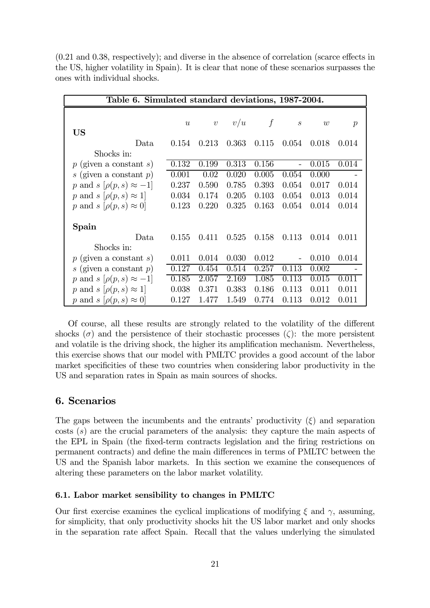(0.21 and 0.38, respectively); and diverse in the absence of correlation (scarce effects in the US, higher volatility in Spain). It is clear that none of these scenarios surpasses the ones with individual shocks.

|                                     | Table 6. Simulated standard deviations, 1987-2004. |            |       |        |                             |       |                  |
|-------------------------------------|----------------------------------------------------|------------|-------|--------|-----------------------------|-------|------------------|
|                                     |                                                    |            |       |        |                             |       |                  |
|                                     | $\boldsymbol{u}$                                   | $\upsilon$ | v/u   | $\int$ | $\mathcal{S}_{\mathcal{S}}$ | w     | $\boldsymbol{p}$ |
| US                                  |                                                    |            |       |        |                             |       |                  |
| Data                                | 0.154                                              | 0.213      | 0.363 | 0.115  | 0.054                       | 0.018 | 0.014            |
| Shocks in:                          |                                                    |            |       |        |                             |       |                  |
| $p$ (given a constant s)            | 0.132                                              | 0.199      | 0.313 | 0.156  | $\equiv$                    | 0.015 | 0.014            |
| s (given a constant $p$ )           | 0.001                                              | 0.02       | 0.020 | 0.005  | 0.054                       | 0.000 |                  |
| p and $s$ $[\rho(p, s) \approx -1]$ | 0.237                                              | 0.590      | 0.785 | 0.393  | 0.054                       | 0.017 | 0.014            |
| p and $s$ $[\rho(p, s) \approx 1]$  | 0.034                                              | 0.174      | 0.205 | 0.103  | 0.054                       | 0.013 | 0.014            |
| p and $s$ $[\rho(p, s) \approx 0]$  | 0.123                                              | 0.220      | 0.325 | 0.163  | 0.054                       | 0.014 | 0.014            |
|                                     |                                                    |            |       |        |                             |       |                  |
| Spain                               |                                                    |            |       |        |                             |       |                  |
| Data                                | 0.155                                              | 0.411      | 0.525 | 0.158  | 0.113                       | 0.014 | 0.011            |
| Shocks in:                          |                                                    |            |       |        |                             |       |                  |
| $p$ (given a constant s)            | 0.011                                              | 0.014      | 0.030 | 0.012  |                             | 0.010 | 0.014            |
| s (given a constant $p$ )           | 0.127                                              | 0.454      | 0.514 | 0.257  | 0.113                       | 0.002 |                  |
| p and s $[\rho(p,s) \approx -1]$    | 0.185                                              | 2.057      | 2.169 | 1.085  | 0.113                       | 0.015 | 0.011            |
| p and $s$ $[\rho(p, s) \approx 1]$  | 0.038                                              | 0.371      | 0.383 | 0.186  | 0.113                       | 0.011 | 0.011            |
| p and $s$ $[\rho(p, s) \approx 0]$  | 0.127                                              | 1.477      | 1.549 | 0.774  | 0.113                       | 0.012 | 0.011            |

Of course, all these results are strongly related to the volatility of the different shocks ( $\sigma$ ) and the persistence of their stochastic processes ( $\zeta$ ): the more persistent and volatile is the driving shock, the higher its amplification mechanism. Nevertheless, this exercise shows that our model with PMLTC provides a good account of the labor market specificities of these two countries when considering labor productivity in the US and separation rates in Spain as main sources of shocks.

#### 6. Scenarios

The gaps between the incumbents and the entrants' productivity  $(\xi)$  and separation costs (s) are the crucial parameters of the analysis: they capture the main aspects of the EPL in Spain (the fixed-term contracts legislation and the firing restrictions on permanent contracts) and define the main differences in terms of PMLTC between the US and the Spanish labor markets. In this section we examine the consequences of altering these parameters on the labor market volatility.

#### 6.1. Labor market sensibility to changes in PMLTC

Our first exercise examines the cyclical implications of modifying  $\xi$  and  $\gamma$ , assuming, for simplicity, that only productivity shocks hit the US labor market and only shocks in the separation rate affect Spain. Recall that the values underlying the simulated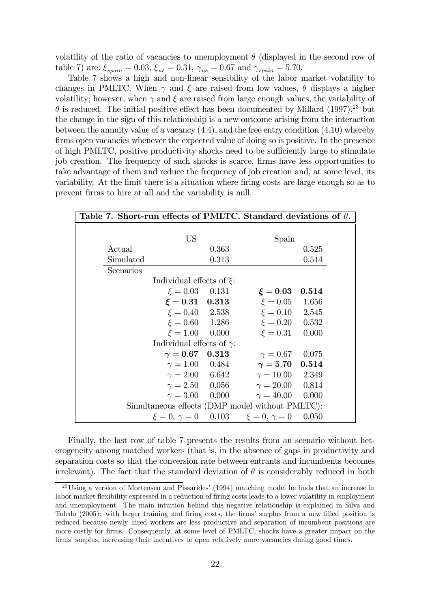volatility of the ratio of vacancies to unemployment  $\theta$  (displayed in the second row of table 7) are:  $\xi_{spain} = 0.03$ ,  $\xi_{us} = 0.31$ ,  $\gamma_{us} = 0.67$  and  $\gamma_{spain} = 5.70$ .

Table 7 shows a high and non-linear sensibility of the labor market volatility to changes in PMLTC. When  $\gamma$  and  $\xi$  are raised from low values,  $\theta$  displays a higher volatility; however, when  $\gamma$  and  $\xi$  are raised from large enough values, the variability of  $\theta$  is reduced. The initial positive effect has been documented by Millard (1997),<sup>23</sup> but the change in the sign of this relationship is a new outcome arising from the interaction between the annuity value of a vacancy  $(4.4)$ , and the free entry condition  $(4.10)$  whereby firms open vacancies whenever the expected value of doing so is positive. In the presence of high PMLTC, positive productivity shocks need to be sufficiently large to stimulate job creation. The frequency of such shocks is scarce, firms have less opportunities to take advantage of them and reduce the frequency of job creation and, at some level, its variability. At the limit there is a situation where firing costs are large enough so as to prevent firms to hire at all and the variability is null.

|           | Table 7. Short-run effects of PMLTC. Standard deviations of $\theta$ . |       |                                                                   |       |  |
|-----------|------------------------------------------------------------------------|-------|-------------------------------------------------------------------|-------|--|
|           |                                                                        |       |                                                                   |       |  |
|           | <b>US</b>                                                              |       | Spain                                                             |       |  |
| Actual    |                                                                        | 0.363 |                                                                   | 0.525 |  |
| Simulated |                                                                        | 0.313 |                                                                   | 0.514 |  |
| Scenarios |                                                                        |       |                                                                   |       |  |
|           | Individual effects of $\xi$ :                                          |       |                                                                   |       |  |
|           | $\xi = 0.03$ 0.131                                                     |       | $\xi=0.03$                                                        | 0.514 |  |
|           | $\xi = 0.31$ 0.313                                                     |       | $\xi = 0.05$ 1.656                                                |       |  |
|           | $\xi = 0.40$ 2.538                                                     |       | $\xi = 0.10$ 2.545                                                |       |  |
|           | $\xi = 0.60$ 1.286                                                     |       | $\xi = 0.20$                                                      | 0.532 |  |
|           | $\xi = 1.00$ 0.000                                                     |       | $\xi = 0.31$                                                      | 0.000 |  |
|           | Individual effects of $\gamma$ :                                       |       |                                                                   |       |  |
|           | $\gamma = 0.67$ 0.313                                                  |       | $\gamma = 0.67$ 0.075                                             |       |  |
|           | $\gamma = 1.00$ 0.484                                                  |       | $\gamma=5.70\quad 0.514$                                          |       |  |
|           | $\gamma = 2.00$ 6.642                                                  |       | $\gamma = 10.00$ 2.349                                            |       |  |
|           | $\gamma = 2.50$ 0.056                                                  |       | $\gamma = 20.00$ 0.814                                            |       |  |
|           | $\gamma = 3.00$ 0.000                                                  |       | $\gamma = 40.00 \quad 0.000$                                      |       |  |
|           | Simultaneous effects (DMP model without PMLTC):                        |       |                                                                   |       |  |
|           |                                                                        |       | $\xi = 0, \, \gamma = 0 \quad 0.103 \quad \xi = 0, \, \gamma = 0$ | 0.050 |  |

Finally, the last row of table 7 presents the results from an scenario without heterogeneity among matched workers (that is, in the absence of gaps in productivity and separation costs so that the conversion rate between entrants and incumbents becomes irrelevant). The fact that the standard deviation of  $\theta$  is considerably reduced in both

<sup>23</sup>Using a version of Mortensen and Pissarides' (1994) matching model he finds that an increase in labor market flexibility expressed in a reduction of firing costs leads to a lower volatility in employment and unemployment. The main intuition behind this negative relationship is explained in Silva and Toledo (2005): with larger training and firing costs, the firms' surplus from a new filled position is reduced because newly hired workers are less productive and separation of incumbent positions are more costly for firms. Consequently, at some level of PMLTC, shocks have a greater impact on the firms' surplus, increasing their incentives to open relatively more vacancies during good times.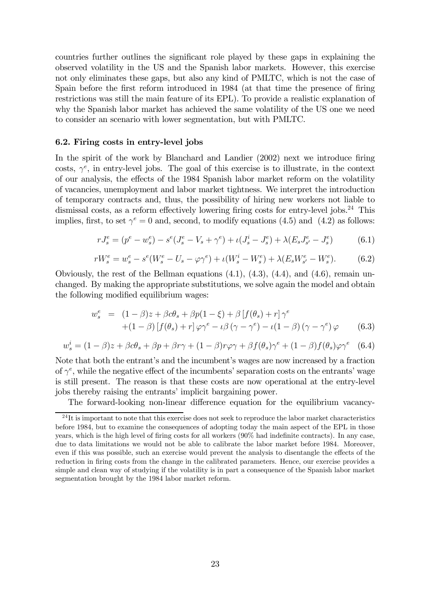countries further outlines the significant role played by these gaps in explaining the observed volatility in the US and the Spanish labor markets. However, this exercise not only eliminates these gaps, but also any kind of PMLTC, which is not the case of Spain before the first reform introduced in 1984 (at that time the presence of firing restrictions was still the main feature of its EPL). To provide a realistic explanation of why the Spanish labor market has achieved the same volatility of the US one we need to consider an scenario with lower segmentation, but with PMLTC.

#### 6.2. Firing costs in entry-level jobs

In the spirit of the work by Blanchard and Landier (2002) next we introduce firing costs,  $\gamma^e$ , in entry-level jobs. The goal of this exercise is to illustrate, in the context of our analysis, the effects of the 1984 Spanish labor market reform on the volatility of vacancies, unemployment and labor market tightness. We interpret the introduction of temporary contracts and, thus, the possibility of hiring new workers not liable to dismissal costs, as a reform effectively lowering firing costs for entry-level jobs.<sup>24</sup> This implies, first, to set  $\gamma^e = 0$  and, second, to modify equations (4.5) and (4.2) as follows:

$$
rJ_s^e = (p^e - w_s^e) - s^e(J_s^e - V_s + \gamma^e) + \iota(J_s^i - J_s^e) + \lambda(E_s J_{s'}^e - J_s^e)
$$
(6.1)

$$
rW_s^e = w_s^e - s^e(W_s^e - U_s - \varphi \gamma^e) + \iota(W_s^i - W_s^e) + \lambda(E_s W_{s'}^e - W_s^e). \tag{6.2}
$$

Obviously, the rest of the Bellman equations (4.1), (4.3), (4.4), and (4.6), remain unchanged. By making the appropriate substitutions, we solve again the model and obtain the following modified equilibrium wages:

$$
w_s^e = (1 - \beta)z + \beta c\theta_s + \beta p(1 - \xi) + \beta \left[f(\theta_s) + r\right]\gamma^e
$$
  
+(1 - \beta)\left[f(\theta\_s) + r\right]\varphi\gamma^e - \iota\beta(\gamma - \gamma^e) - \iota(1 - \beta)(\gamma - \gamma^e)\varphi \qquad (6.3)

$$
w_s^i = (1 - \beta)z + \beta c\theta_s + \beta p + \beta r\gamma + (1 - \beta)r\varphi\gamma + \beta f(\theta_s)\gamma^e + (1 - \beta)f(\theta_s)\varphi\gamma^e \quad (6.4)
$$

Note that both the entrant's and the incumbent's wages are now increased by a fraction of  $\gamma^e$ , while the negative effect of the incumbents' separation costs on the entrants' wage is still present. The reason is that these costs are now operational at the entry-level jobs thereby raising the entrants' implicit bargaining power.

The forward-looking non-linear difference equation for the equilibrium vacancy-

 $^{24}$ It is important to note that this exercise does not seek to reproduce the labor market characteristics before 1984, but to examine the consequences of adopting today the main aspect of the EPL in those years, which is the high level of firing costs for all workers (90% had indefinite contracts). In any case, due to data limitations we would not be able to calibrate the labor market before 1984. Moreover, even if this was possible, such an exercise would prevent the analysis to disentangle the effects of the reduction in firing costs from the change in the calibrated parameters. Hence, our exercise provides a simple and clean way of studying if the volatility is in part a consequence of the Spanish labor market segmentation brought by the 1984 labor market reform.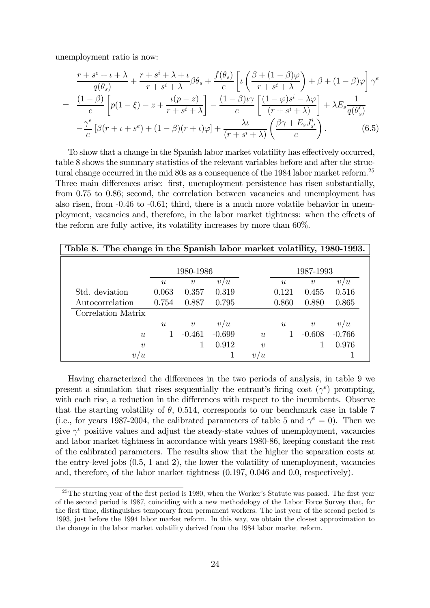unemployment ratio is now:

$$
\frac{r+s^e+\iota+\lambda}{q(\theta_s)} + \frac{r+s^i+\lambda+\iota}{r+s^i+\lambda} \beta \theta_s + \frac{f(\theta_s)}{c} \left[ \iota \left( \frac{\beta+(1-\beta)\varphi}{r+s^i+\lambda} \right) + \beta + (1-\beta)\varphi \right] \gamma^e
$$
  
= 
$$
\frac{(1-\beta)}{c} \left[ p(1-\xi) - z + \frac{\iota(p-z)}{r+s^i+\lambda} \right] - \frac{(1-\beta)\iota\gamma}{c} \left[ \frac{(1-\varphi)s^i-\lambda\varphi}{(r+s^i+\lambda)} \right] + \lambda E_s \frac{1}{q(\theta_s')}
$$

$$
-\frac{\gamma^e}{c} \left[ \beta(r+\iota+s^e) + (1-\beta)(r+\iota)\varphi \right] + \frac{\lambda\iota}{(r+s^i+\lambda)} \left( \frac{\beta\gamma+E_sJ_{s'}^i}{c} \right). \tag{6.5}
$$

To show that a change in the Spanish labor market volatility has effectively occurred, table 8 shows the summary statistics of the relevant variables before and after the structural change occurred in the mid 80s as a consequence of the 1984 labor market reform.<sup>25</sup> Three main differences arise: first, unemployment persistence has risen substantially, from 0.75 to 0.86; second, the correlation between vacancies and unemployment has also risen, from -0.46 to -0.61; third, there is a much more volatile behavior in unemployment, vacancies and, therefore, in the labor market tightness: when the effects of the reform are fully active, its volatility increases by more than 60%.

| Table 8. The change in the Spanish labor market volatility, 1980-1993. |                  |                  |          |        |                  |                  |          |
|------------------------------------------------------------------------|------------------|------------------|----------|--------|------------------|------------------|----------|
|                                                                        | 1980-1986        |                  |          |        |                  | 1987-1993        |          |
|                                                                        | $\boldsymbol{u}$ | $\boldsymbol{v}$ | v/u      |        | $\boldsymbol{u}$ | $\boldsymbol{v}$ | v/u      |
| Std. deviation                                                         | 0.063            | 0.357            | 0.319    |        | 0.121            | 0.455            | 0.516    |
| Autocorrelation                                                        | 0.754            | 0.887            | 0.795    |        | 0.860            | 0.880            | 0.865    |
| Correlation Matrix                                                     |                  |                  |          |        |                  |                  |          |
|                                                                        | $\boldsymbol{u}$ | $\boldsymbol{v}$ | v/u      |        | $\boldsymbol{u}$ | $\boldsymbol{v}$ | v/u      |
| u                                                                      |                  | $-0.461$         | $-0.699$ | u      |                  | $-0.608$         | $-0.766$ |
| $\eta$                                                                 |                  |                  | 0.912    | $\eta$ |                  |                  | 0.976    |
| $\boldsymbol{v}$<br>$\boldsymbol{u}$                                   |                  |                  |          | v/u    |                  |                  |          |

Having characterized the differences in the two periods of analysis, in table 9 we present a simulation that rises sequentially the entrant's firing cost  $(\gamma^e)$  prompting, with each rise, a reduction in the differences with respect to the incumbents. Observe that the starting volatility of  $\theta$ , 0.514, corresponds to our benchmark case in table 7 (i.e., for years 1987-2004, the calibrated parameters of table 5 and  $\gamma^e = 0$ ). Then we give  $\gamma^e$  positive values and adjust the steady-state values of unemployment, vacancies and labor market tightness in accordance with years 1980-86, keeping constant the rest of the calibrated parameters. The results show that the higher the separation costs at the entry-level jobs (0.5, 1 and 2), the lower the volatility of unemployment, vacancies and, therefore, of the labor market tightness (0.197, 0.046 and 0.0, respectively).

<sup>&</sup>lt;sup>25</sup>The starting year of the first period is 1980, when the Worker's Statute was passed. The first year of the second period is 1987, coinciding with a new methodology of the Labor Force Survey that, for the first time, distinguishes temporary from permanent workers. The last year of the second period is 1993, just before the 1994 labor market reform. In this way, we obtain the closest approximation to the change in the labor market volatility derived from the 1984 labor market reform.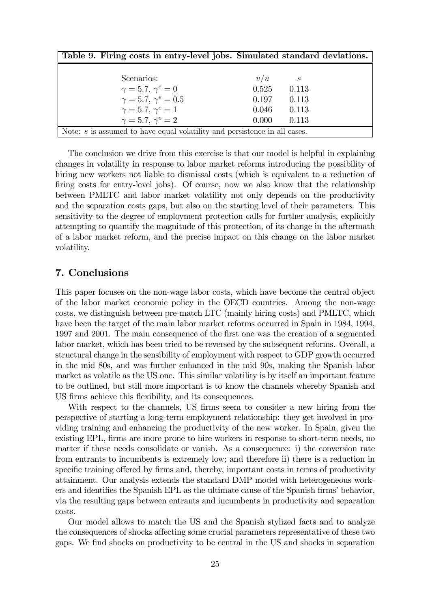| Table 9. Firing costs in entry-level jobs. Simulated standard deviations.   |                |  |
|-----------------------------------------------------------------------------|----------------|--|
|                                                                             |                |  |
| Scenarios:                                                                  | v/u<br>S       |  |
| $\gamma = 5.7, \gamma^e = 0$                                                | 0.525<br>0.113 |  |
| $\gamma = 5.7, \gamma^e = 0.5$                                              | 0.197<br>0.113 |  |
| $\gamma = 5.7, \gamma^e = 1$                                                | 0.046<br>0.113 |  |
| $\gamma = 5.7, \gamma^e = 2$                                                | 0.000<br>0.113 |  |
| Note: $s$ is assumed to have equal volatility and persistence in all cases. |                |  |

The conclusion we drive from this exercise is that our model is helpful in explaining changes in volatility in response to labor market reforms introducing the possibility of hiring new workers not liable to dismissal costs (which is equivalent to a reduction of firing costs for entry-level jobs). Of course, now we also know that the relationship between PMLTC and labor market volatility not only depends on the productivity and the separation costs gaps, but also on the starting level of their parameters. This sensitivity to the degree of employment protection calls for further analysis, explicitly attempting to quantify the magnitude of this protection, of its change in the aftermath of a labor market reform, and the precise impact on this change on the labor market volatility.

#### 7. Conclusions

This paper focuses on the non-wage labor costs, which have become the central object of the labor market economic policy in the OECD countries. Among the non-wage costs, we distinguish between pre-match LTC (mainly hiring costs) and PMLTC, which have been the target of the main labor market reforms occurred in Spain in 1984, 1994, 1997 and 2001. The main consequence of the first one was the creation of a segmented labor market, which has been tried to be reversed by the subsequent reforms. Overall, a structural change in the sensibility of employment with respect to GDP growth occurred in the mid 80s, and was further enhanced in the mid 90s, making the Spanish labor market as volatile as the US one. This similar volatility is by itself an important feature to be outlined, but still more important is to know the channels whereby Spanish and US firms achieve this flexibility, and its consequences.

With respect to the channels, US firms seem to consider a new hiring from the perspective of starting a long-term employment relationship: they get involved in providing training and enhancing the productivity of the new worker. In Spain, given the existing EPL, firms are more prone to hire workers in response to short-term needs, no matter if these needs consolidate or vanish. As a consequence: i) the conversion rate from entrants to incumbents is extremely low; and therefore ii) there is a reduction in specific training offered by firms and, thereby, important costs in terms of productivity attainment. Our analysis extends the standard DMP model with heterogeneous workers and identifies the Spanish EPL as the ultimate cause of the Spanish firms' behavior, via the resulting gaps between entrants and incumbents in productivity and separation costs.

Our model allows to match the US and the Spanish stylized facts and to analyze the consequences of shocks affecting some crucial parameters representative of these two gaps. We find shocks on productivity to be central in the US and shocks in separation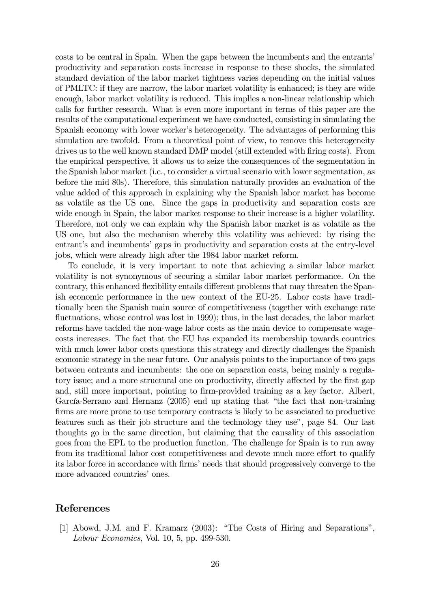costs to be central in Spain. When the gaps between the incumbents and the entrants' productivity and separation costs increase in response to these shocks, the simulated standard deviation of the labor market tightness varies depending on the initial values of PMLTC: if they are narrow, the labor market volatility is enhanced; is they are wide enough, labor market volatility is reduced. This implies a non-linear relationship which calls for further research. What is even more important in terms of this paper are the results of the computational experiment we have conducted, consisting in simulating the Spanish economy with lower worker's heterogeneity. The advantages of performing this simulation are twofold. From a theoretical point of view, to remove this heterogeneity drives us to the well known standard DMP model (still extended with firing costs). From the empirical perspective, it allows us to seize the consequences of the segmentation in the Spanish labor market (i.e., to consider a virtual scenario with lower segmentation, as before the mid 80s). Therefore, this simulation naturally provides an evaluation of the value added of this approach in explaining why the Spanish labor market has become as volatile as the US one. Since the gaps in productivity and separation costs are wide enough in Spain, the labor market response to their increase is a higher volatility. Therefore, not only we can explain why the Spanish labor market is as volatile as the US one, but also the mechanism whereby this volatility was achieved: by rising the entrant's and incumbents' gaps in productivity and separation costs at the entry-level jobs, which were already high after the 1984 labor market reform.

To conclude, it is very important to note that achieving a similar labor market volatility is not synonymous of securing a similar labor market performance. On the contrary, this enhanced flexibility entails different problems that may threaten the Spanish economic performance in the new context of the EU-25. Labor costs have traditionally been the Spanish main source of competitiveness (together with exchange rate fluctuations, whose control was lost in 1999); thus, in the last decades, the labor market reforms have tackled the non-wage labor costs as the main device to compensate wagecosts increases. The fact that the EU has expanded its membership towards countries with much lower labor costs questions this strategy and directly challenges the Spanish economic strategy in the near future. Our analysis points to the importance of two gaps between entrants and incumbents: the one on separation costs, being mainly a regulatory issue; and a more structural one on productivity, directly affected by the first gap and, still more important, pointing to firm-provided training as a key factor. Albert, García-Serrano and Hernanz (2005) end up stating that "the fact that non-training firms are more prone to use temporary contracts is likely to be associated to productive features such as their job structure and the technology they use", page 84. Our last thoughts go in the same direction, but claiming that the causality of this association goes from the EPL to the production function. The challenge for Spain is to run away from its traditional labor cost competitiveness and devote much more effort to qualify its labor force in accordance with firms' needs that should progressively converge to the more advanced countries' ones.

#### References

[1] Abowd, J.M. and F. Kramarz (2003): "The Costs of Hiring and Separations", Labour Economics, Vol. 10, 5, pp. 499-530.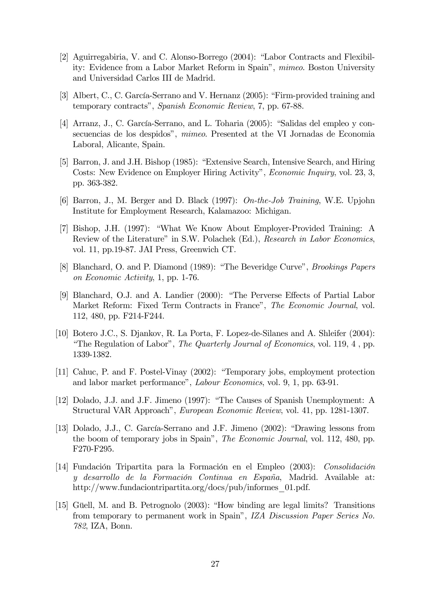- [2] Aguirregabiria, V. and C. Alonso-Borrego (2004): "Labor Contracts and Flexibility: Evidence from a Labor Market Reform in Spain", mimeo. Boston University and Universidad Carlos III de Madrid.
- [3] Albert, C., C. García-Serrano and V. Hernanz (2005): "Firm-provided training and temporary contracts", Spanish Economic Review, 7, pp. 67-88.
- [4] Arranz, J., C. García-Serrano, and L. Toharia (2005): "Salidas del empleo y consecuencias de los despidos", mimeo. Presented at the VI Jornadas de Economia Laboral, Alicante, Spain.
- [5] Barron, J. and J.H. Bishop (1985): "Extensive Search, Intensive Search, and Hiring Costs: New Evidence on Employer Hiring Activity", Economic Inquiry, vol. 23, 3, pp. 363-382.
- [6] Barron, J., M. Berger and D. Black (1997): On-the-Job Training, W.E. Upjohn Institute for Employment Research, Kalamazoo: Michigan.
- [7] Bishop, J.H. (1997): "What We Know About Employer-Provided Training: A Review of the Literature" in S.W. Polachek (Ed.), Research in Labor Economics, vol. 11, pp.19-87. JAI Press, Greenwich CT.
- [8] Blanchard, O. and P. Diamond (1989): "The Beveridge Curve", Brookings Papers on Economic Activity, 1, pp. 1-76.
- [9] Blanchard, O.J. and A. Landier (2000): "The Perverse Effects of Partial Labor Market Reform: Fixed Term Contracts in France", The Economic Journal, vol. 112, 480, pp. F214-F244.
- [10] Botero J.C., S. Djankov, R. La Porta, F. Lopez-de-Silanes and A. Shleifer (2004): "The Regulation of Labor", The Quarterly Journal of Economics, vol. 119, 4 , pp. 1339-1382.
- [11] Cahuc, P. and F. Postel-Vinay (2002): "Temporary jobs, employment protection and labor market performance", Labour Economics, vol. 9, 1, pp. 63-91.
- [12] Dolado, J.J. and J.F. Jimeno (1997): "The Causes of Spanish Unemployment: A Structural VAR Approach", European Economic Review, vol. 41, pp. 1281-1307.
- [13] Dolado, J.J., C. García-Serrano and J.F. Jimeno (2002): "Drawing lessons from the boom of temporary jobs in Spain", The Economic Journal, vol. 112, 480, pp. F270-F295.
- [14] Fundación Tripartita para la Formación en el Empleo (2003): Consolidación y desarrollo de la Formación Continua en España, Madrid. Available at: http://www.fundaciontripartita.org/docs/pub/informes\_01.pdf.
- [15] Güell, M. and B. Petrognolo (2003): "How binding are legal limits? Transitions from temporary to permanent work in Spain", IZA Discussion Paper Series No. 782, IZA, Bonn.